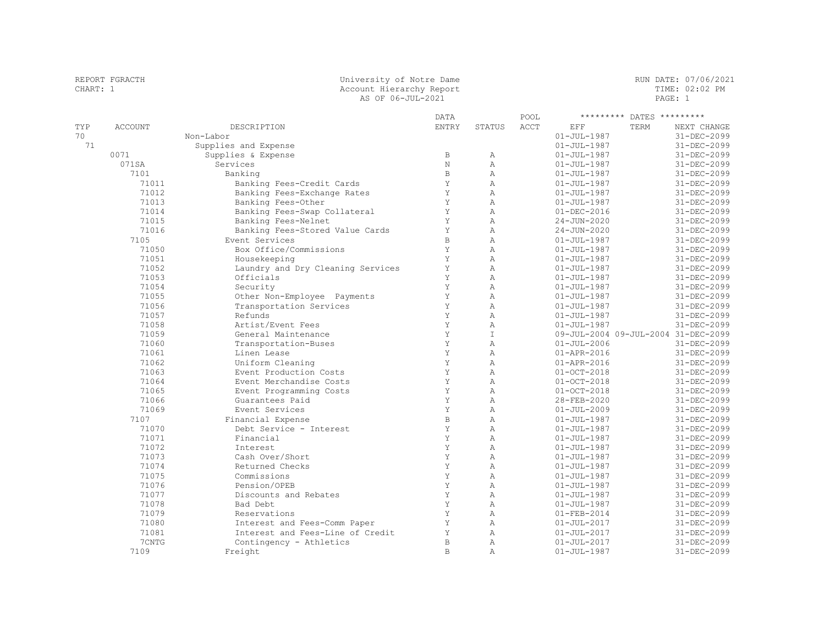## REPORT FGRACTH University of Notre Dame RUN DATE: 07/06/2021 CHART: 1 Account Hierarchy Report TIME: 02:02 PM AS OF 06-JUL-2021 **PAGE:** 1

|     |                |                                   | <b>DATA</b>      |                              | POOL |                                        | ********* DATES ********* |                            |
|-----|----------------|-----------------------------------|------------------|------------------------------|------|----------------------------------------|---------------------------|----------------------------|
| TYP | <b>ACCOUNT</b> | DESCRIPTION                       | <b>ENTRY</b>     | STATUS                       | ACCT | EFF                                    | TERM                      | NEXT CHANGE                |
| 70  |                | Non-Labor                         |                  |                              |      | $01 - JUL - 1987$                      |                           | 31-DEC-2099                |
| 71  |                | Supplies and Expense              |                  |                              |      | $01 - JUL - 1987$                      |                           | 31-DEC-2099                |
|     | 0071           | Supplies & Expense                | $\, {\bf B}$     | Α                            |      | $01 - JUL - 1987$                      |                           | 31-DEC-2099                |
|     | 071SA          | Services                          | $\rm N$          | $\mathbb{A}$                 |      | $01 - JUL - 1987$                      |                           | 31-DEC-2099                |
|     | 7101           | Banking                           | $\mathbf B$      | $\lambda$                    |      | $01 - JUL - 1987$                      |                           | 31-DEC-2099                |
|     | 71011          | Banking Fees-Credit Cards         | Y                | $\mathbb{A}$                 |      | $01 - JUL - 1987$                      |                           | 31-DEC-2099                |
|     | 71012          | Banking Fees-Exchange Rates       | Y                | $\mathbb{A}$                 |      | $01 - JUL - 1987$                      |                           | 31-DEC-2099                |
|     | 71013          | Banking Fees-Other                | Y                | $\mathbb{A}$                 |      | $01 - JUL - 1987$                      |                           | 31-DEC-2099                |
|     | 71014          | Banking Fees-Swap Collateral      | Y                | $\mathbb{A}$                 |      | $01 - DEC - 2016$                      |                           | 31-DEC-2099                |
|     | 71015          | Banking Fees-Nelnet               | Y                | $\lambda$                    |      | $24 - JUN - 2020$                      |                           | 31-DEC-2099                |
|     | 71016          | Banking Fees-Stored Value Cards   | Y                | $\overline{A}$               |      | $24 - JUN - 2020$                      |                           | 31-DEC-2099                |
|     | 7105           | Event Services                    | $\mathbf B$      | $\lambda$                    |      | $01 - JUL - 1987$                      |                           | 31-DEC-2099                |
|     | 71050          | Box Office/Commissions            | Y                | $\lambda$                    |      | $01 - JUL - 1987$                      |                           | 31-DEC-2099                |
|     | 71051          | Housekeeping                      | Y                | $\lambda$                    |      | $01 - JUL - 1987$                      |                           | 31-DEC-2099                |
|     | 71052          | Laundry and Dry Cleaning Services | Y                | $\overline{A}$               |      | $01 - JUL - 1987$                      |                           | 31-DEC-2099                |
|     | 71053          | Officials                         | Y                | $\lambda$                    |      | $01 - JUL - 1987$                      |                           | 31-DEC-2099                |
|     | 71054          | Security                          | Y                | $\lambda$                    |      | $01 - JUL - 1987$                      |                           | 31-DEC-2099                |
|     | 71055          | Other Non-Employee Payments       | Y                | $\mathbb{A}$                 |      | $01 - JUL - 1987$                      |                           | 31-DEC-2099                |
|     | 71056          | Transportation Services           | Y                | $\overline{A}$               |      | $01 - JUL - 1987$                      |                           | 31-DEC-2099                |
|     | 71057          | Refunds                           | Y                | $\mathbb{A}$                 |      | $01 - JUL - 1987$                      |                           | 31-DEC-2099                |
|     | 71058          | Artist/Event Fees                 | Y                | $\mathbb{A}$                 |      | $01 - JUL - 1987$                      |                           | 31-DEC-2099                |
|     | 71059          | General Maintenance               | Y                | T                            |      | 09-JUL-2004 09-JUL-2004 31-DEC-2099    |                           |                            |
|     | 71060          | Transportation-Buses              | Y                | $\overline{A}$               |      | $01 - JUL - 2006$                      |                           | 31-DEC-2099                |
|     | 71061          | Linen Lease                       | Y                | $\lambda$                    |      | $01 - APR - 2016$                      |                           | 31-DEC-2099                |
|     | 71062          | Uniform Cleaning                  | Y                | $\lambda$                    |      | $01 - APR - 2016$                      |                           | 31-DEC-2099                |
|     | 71063          | Event Production Costs            | Y                | $\overline{A}$               |      | $01 - OCT - 2018$                      |                           | 31-DEC-2099                |
|     | 71064          | Event Merchandise Costs           | Y                | $\lambda$                    |      | $01 - OCT - 2018$                      |                           | 31-DEC-2099                |
|     | 71065          | Event Programming Costs           | Y                | $\lambda$                    |      | $01 - OCT - 2018$                      |                           | $31 - DEC - 2099$          |
|     | 71066          | Guarantees Paid                   | Y                | $\lambda$                    |      | 28-FEB-2020                            |                           | $31 - DEC - 2099$          |
|     | 71069          | Event Services                    | Y                | $\mathbb{A}$                 |      | $01 - JUL - 2009$                      |                           | 31-DEC-2099                |
|     | 7107           | Financial Expense                 | $\mathbf B$      | $\lambda$                    |      | $01 - JUL - 1987$                      |                           | 31-DEC-2099                |
|     | 71070          | Debt Service - Interest           | Y                | $\lambda$                    |      | $01 - JUL - 1987$                      |                           | 31-DEC-2099                |
|     | 71071          | Financial                         | $\rm Y$          | $\mathbb{A}$                 |      | $01 - JUL - 1987$                      |                           | 31-DEC-2099                |
|     | 71072          | Interest                          | Y                | $\mathbb{A}$                 |      | $01 - JUL - 1987$                      |                           | 31-DEC-2099                |
|     | 71073          | Cash Over/Short                   | Y                | $\mathbb{A}$                 |      | $01 - JUL - 1987$                      |                           | 31-DEC-2099                |
|     | 71074          | Returned Checks                   | Y<br>Y           | $\mathbb{A}$                 |      | $01 - JUL - 1987$                      |                           | 31-DEC-2099                |
|     | 71075          | Commissions                       | Y                | $\lambda$                    |      | $01 - JUL - 1987$                      |                           | 31-DEC-2099                |
|     | 71076          | Pension/OPEB                      |                  | $\lambda$                    |      | $01 - JUL - 1987$                      |                           | $31 - DEC - 2099$          |
|     | 71077          | Discounts and Rebates             | Y<br>Y           | $\mathbb{A}$<br>$\lambda$    |      | $01 - JUL - 1987$                      |                           | 31-DEC-2099                |
|     | 71078          | Bad Debt                          |                  |                              |      | $01 - JUL - 1987$                      |                           | 31-DEC-2099                |
|     | 71079          | Reservations                      | Y                | $\overline{A}$               |      | $01 - FEB - 2014$                      |                           | 31-DEC-2099                |
|     | 71080          | Interest and Fees-Comm Paper      | Y                | $\mathbb{A}$                 |      | $01 - JUL - 2017$                      |                           | 31-DEC-2099                |
|     | 71081<br>7CNTG | Interest and Fees-Line of Credit  | Y<br>$\mathbb B$ | $\mathbb{A}$<br>$\mathbb{A}$ |      | $01 - JUL - 2017$                      |                           | 31-DEC-2099                |
|     | 7109           | Contingency - Athletics           | $\mathbb B$      | $\lambda$                    |      | $01 - JUL - 2017$<br>$01 - JUL - 1987$ |                           | 31-DEC-2099<br>31-DEC-2099 |
|     |                | Freight                           |                  |                              |      |                                        |                           |                            |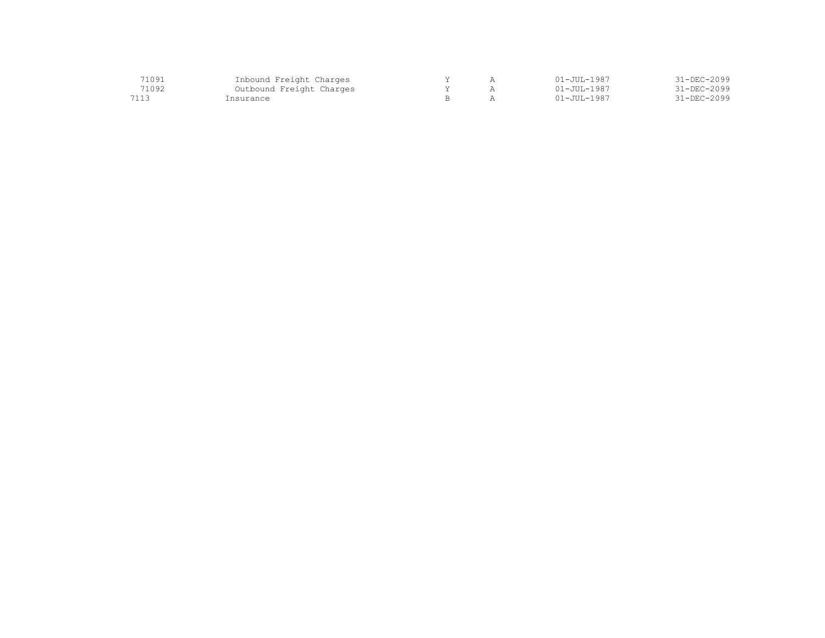| 71091 | Inbound Freight Charges  |  | 01-JUL-1987          | 31-DEC-2099       |
|-------|--------------------------|--|----------------------|-------------------|
| 71092 | Outbound Freight Charges |  | $01 - JUII - 1987$   | $31 - DEC - 2099$ |
| 7113  | "nsurance                |  | $01 - J$ UII $-1987$ | $31 - DEC - 2099$ |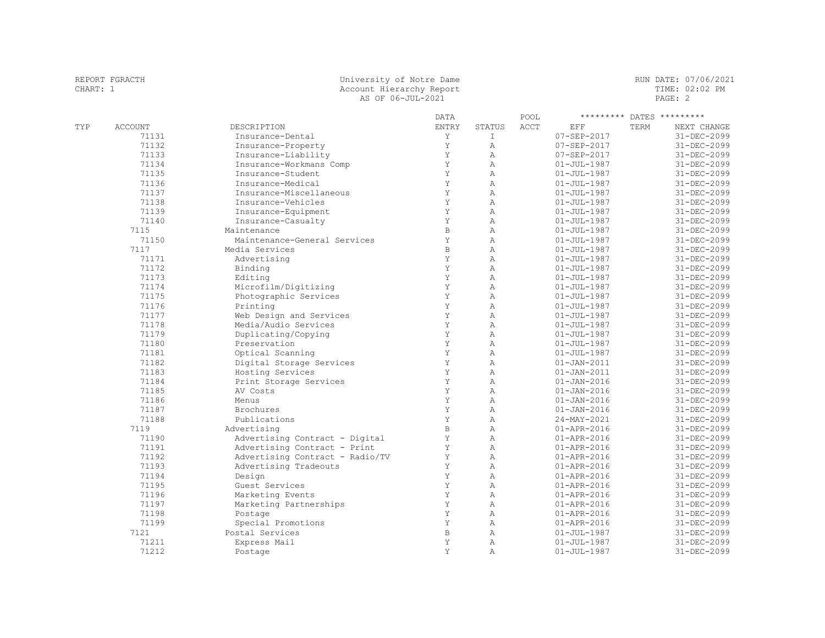|          | REPORT FGRACTH |                     | University of Notre Dame |        |      |                 |                | RUN DATE: 07/06/2021      |  |
|----------|----------------|---------------------|--------------------------|--------|------|-----------------|----------------|---------------------------|--|
| CHART: 1 |                |                     | Account Hierarchy Report |        |      |                 | TIME: 02:02 PM |                           |  |
|          |                |                     | AS OF 06-JUL-2021        |        |      |                 |                | PAGE: 2                   |  |
|          |                |                     | DATA                     |        | POOL |                 |                | ********* DATES ********* |  |
| TYP      | ACCOUNT        | DESCRIPTION         | ENTRY                    | STATUS | ACCT | EFF             | TERM           | NEXT CHANGE               |  |
|          | 71131          | Insurance-Dental    |                          |        |      | 07-SEP-2017     |                | 31-DEC-2099               |  |
|          | 71132          | Insurance-Property  |                          |        |      | 07-SEP-2017     |                | 31-DEC-2099               |  |
|          | 71133          | Insurance-Liability |                          |        |      | $07 -$ SEP-2017 |                | $31 - DEC - 2099$         |  |

|      | 71132 | Insurance-Property              | Y            | $\mathbb{A}$   | 07-SEP-2017       | 31-DEC-2099       |
|------|-------|---------------------------------|--------------|----------------|-------------------|-------------------|
|      | 71133 | Insurance-Liability             | Y            | $\mathbb{A}$   | 07-SEP-2017       | 31-DEC-2099       |
|      | 71134 | Insurance-Workmans Comp         | Y            | $\overline{A}$ | $01 - JUL - 1987$ | $31 - DEC - 2099$ |
|      | 71135 | Insurance-Student               | Y            | $\mathbb{A}$   | $01 - JUL - 1987$ | $31 - DEC - 2099$ |
|      | 71136 | Insurance-Medical               | Y            | $\mathbb{A}$   | $01 - JUL - 1987$ | 31-DEC-2099       |
|      | 71137 | Insurance-Miscellaneous         | Y            | $\mathbb{A}$   | $01 - JUL - 1987$ | 31-DEC-2099       |
|      | 71138 | Insurance-Vehicles              | Y            | $\mathbb{A}$   | $01 - JUL - 1987$ | 31-DEC-2099       |
|      | 71139 | Insurance-Equipment             | Y            | $\mathbb{A}$   | $01 - JUL - 1987$ | 31-DEC-2099       |
|      | 71140 | Insurance-Casualty              | Y            | $\mathbb{A}$   | $01 - JUL - 1987$ | 31-DEC-2099       |
| 7115 |       | Maintenance                     | $\mathbf B$  | $\mathbb{A}$   | $01 - JUL - 1987$ | 31-DEC-2099       |
|      | 71150 | Maintenance-General Services    | Y            | $\mathbb{A}$   | $01 - JUL - 1987$ | 31-DEC-2099       |
| 7117 |       | Media Services                  | $\, {\bf B}$ | $\mathbb{A}$   | $01 - JUL - 1987$ | 31-DEC-2099       |
|      | 71171 | Advertising                     | Y            | $\mathbb{A}$   | $01 - JUL - 1987$ | 31-DEC-2099       |
|      | 71172 | Binding                         | Y            | $\lambda$      | $01 - JUL - 1987$ | 31-DEC-2099       |
|      | 71173 | Editing                         | Y            | $\mathbb{A}$   | $01 - JUL - 1987$ | 31-DEC-2099       |
|      | 71174 | Microfilm/Digitizing            | Y            | $\mathbb{A}$   | $01 - JUL - 1987$ | 31-DEC-2099       |
|      | 71175 | Photographic Services           | Y            | $\mathbb{A}$   | $01 - JUL - 1987$ | 31-DEC-2099       |
|      | 71176 | Printing                        | Y            | $\mathbb{A}$   | $01 - JUL - 1987$ | 31-DEC-2099       |
|      | 71177 | Web Design and Services         | Y            | $\lambda$      | $01 - JUL - 1987$ | 31-DEC-2099       |
|      | 71178 | Media/Audio Services            | Y            | $\lambda$      | $01 - JUL - 1987$ | 31-DEC-2099       |
|      | 71179 | Duplicating/Copying             | Y            | $\mathbb{A}$   | $01 - JUL - 1987$ | $31 - DEC - 2099$ |
|      | 71180 | Preservation                    | Y            | $\mathbb{A}$   | $01 - JUL - 1987$ | 31-DEC-2099       |
|      | 71181 | Optical Scanning                | Y            | $\lambda$      | $01 - JUL - 1987$ | 31-DEC-2099       |
|      | 71182 | Digital Storage Services        | Y            | $\lambda$      | $01 - JAN - 2011$ | $31 - DEC - 2099$ |
|      | 71183 | Hosting Services                | Y            | $\lambda$      | $01 - JAN - 2011$ | 31-DEC-2099       |
|      | 71184 | Print Storage Services          | Y            | $\lambda$      | $01 - JAN - 2016$ | 31-DEC-2099       |
|      | 71185 | AV Costs                        | Y            | $\mathbb{A}$   | $01 - JAN - 2016$ | 31-DEC-2099       |
|      | 71186 | Menus                           | Y            | $\lambda$      | $01 - JAN - 2016$ | 31-DEC-2099       |
|      | 71187 | Brochures                       | Y            | $\lambda$      | $01 - JAN - 2016$ | 31-DEC-2099       |
|      | 71188 | Publications                    | Y            | $\lambda$      | 24-MAY-2021       | 31-DEC-2099       |
| 7119 |       | Advertising                     | $\, {\bf B}$ | $\mathbb{A}$   | $01 - APR - 2016$ | 31-DEC-2099       |
|      | 71190 | Advertising Contract - Digital  | Y            | $\mathbb{A}$   | $01 - APR - 2016$ | 31-DEC-2099       |
|      | 71191 | Advertising Contract - Print    | Y            | $\lambda$      | $01 - APR - 2016$ | 31-DEC-2099       |
|      | 71192 | Advertising Contract - Radio/TV | Y            | $\overline{A}$ | $01 - APR - 2016$ | 31-DEC-2099       |
|      | 71193 | Advertising Tradeouts           | Y            | $\mathbb{A}$   | $01 - APR - 2016$ | 31-DEC-2099       |
|      | 71194 | Design                          | Y            | $\mathbb{A}$   | $01 - APR - 2016$ | 31-DEC-2099       |
|      | 71195 | Guest Services                  | Y            | Α              | $01 - APR - 2016$ | 31-DEC-2099       |
|      | 71196 | Marketing Events                | Y            | Α              | $01 - APR - 2016$ | 31-DEC-2099       |
|      | 71197 | Marketing Partnerships          | Y            | $\mathbb{A}$   | $01 - APR - 2016$ | 31-DEC-2099       |
|      | 71198 | Postage                         | Y            | $\lambda$      | $01 - APR - 2016$ | 31-DEC-2099       |
|      | 71199 | Special Promotions              | Y            | $\mathbb{A}$   | $01 - APR - 2016$ | 31-DEC-2099       |
| 7121 |       | Postal Services                 | $\, {\bf B}$ | Α              | $01 - JUL - 1987$ | $31 - DEC - 2099$ |
|      | 71211 | Express Mail                    | Y            | $\lambda$      | $01 - JUL - 1987$ | 31-DEC-2099       |
|      | 71212 | Postage                         | Y            | $\mathbb{A}$   | $01 - JUL - 1987$ | $31 - DEC - 2099$ |
|      |       |                                 |              |                |                   |                   |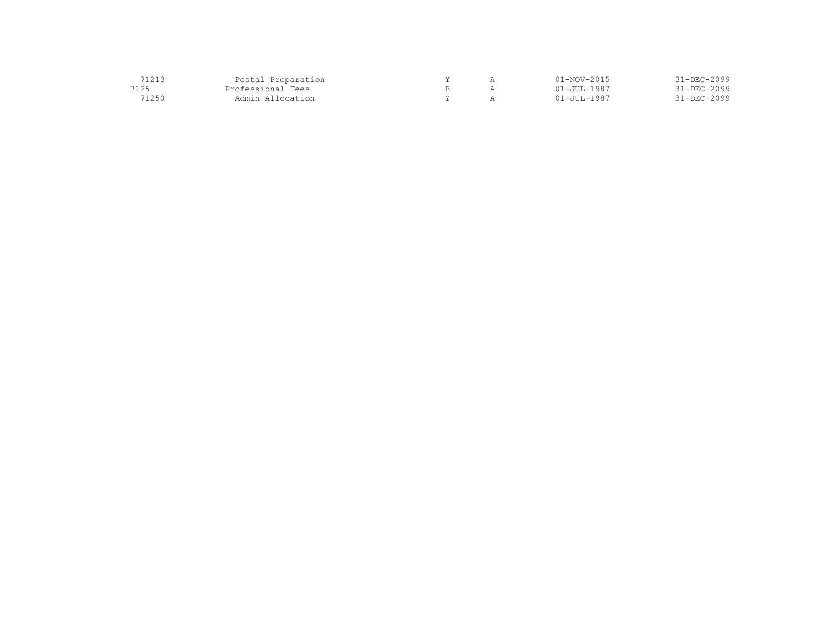| 71010 | Postal Preparation |  | 11-NOV-2015       | $1 - DEC - 2099$  |
|-------|--------------------|--|-------------------|-------------------|
| 7125  | Professional Fees  |  | $01 - JUL - 1987$ | $31 - DEC - 2099$ |
| `1250 | Admin Allocation   |  | $01 - JUL - 1987$ | $31 - DEC - 2099$ |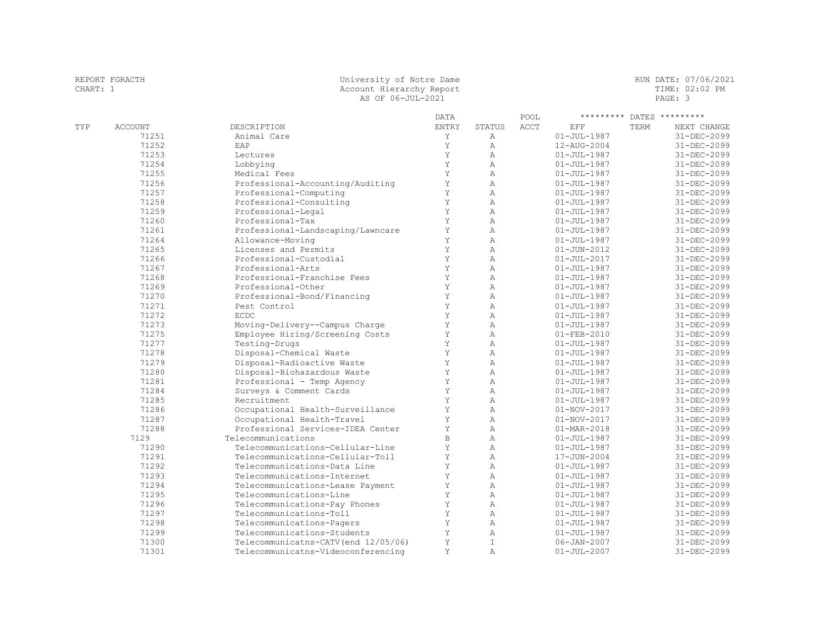| REPORT FGRACTH<br>CHART: 1 |         | AS OF 06-JUL-2021 | University of Notre Dame<br>Account Hierarchy Report |        |      |             | RUN DATE: 07/06/2021<br>TIME: 02:02 PM<br>PAGE: 3 |                           |
|----------------------------|---------|-------------------|------------------------------------------------------|--------|------|-------------|---------------------------------------------------|---------------------------|
|                            |         |                   | DATA                                                 |        | POOL |             |                                                   | ********* DATES ********* |
| TYP                        | ACCOUNT | DESCRIPTION       | ENTRY                                                | STATUS | ACCT | EFF         | TERM                                              | NEXT CHANGE               |
|                            | 71251   | Animal Care       |                                                      |        |      | 01-JUL-1987 |                                                   | 31-DEC-2099               |
|                            | 71252   | EAP               |                                                      |        |      | 12-AUG-2004 |                                                   | 31-DEC-2099               |

| 71252 | EAP                                  | Y           | $\mathbb{A}$   | 12-AUG-2004       | $31 - DEC - 2099$ |
|-------|--------------------------------------|-------------|----------------|-------------------|-------------------|
| 71253 | Lectures                             | Y           | $\overline{A}$ | $01 - JUL - 1987$ | 31-DEC-2099       |
| 71254 | Lobbying                             | Y           | $\mathbb{A}$   | $01 - JUL - 1987$ | 31-DEC-2099       |
| 71255 | Medical Fees                         | Y           | $\overline{A}$ | $01 - JUL - 1987$ | 31-DEC-2099       |
| 71256 | Professional-Accounting/Auditing     | Y           | $\overline{A}$ | $01 - JUL - 1987$ | 31-DEC-2099       |
| 71257 | Professional-Computing               | Y           | $\mathbb{A}$   | $01 - JUL - 1987$ | 31-DEC-2099       |
| 71258 | Professional-Consulting              | Y           | $\overline{A}$ | $01 - JUL - 1987$ | 31-DEC-2099       |
| 71259 | Professional-Legal                   | Y           | $\overline{A}$ | $01 - JUL - 1987$ | 31-DEC-2099       |
| 71260 | Professional-Tax                     | Y           | $\overline{A}$ | $01 - JUL - 1987$ | 31-DEC-2099       |
| 71261 | Professional-Landscaping/Lawncare    | Y           | $\overline{A}$ | $01 - JUL - 1987$ | 31-DEC-2099       |
| 71264 | Allowance-Moving                     | Y           | $\mathbb{A}$   | $01 - JUL - 1987$ | 31-DEC-2099       |
| 71265 | Licenses and Permits                 | Y           | $\overline{A}$ | $01 - JUN - 2012$ | 31-DEC-2099       |
| 71266 | Professional-Custodial               | Y           | $\mathbb{A}$   | $01 - JUL - 2017$ | 31-DEC-2099       |
| 71267 | Professional-Arts                    | Y           | $\mathbb{A}$   | $01 - JUL - 1987$ | 31-DEC-2099       |
| 71268 | Professional-Franchise Fees          | Y           | $\mathbb{A}$   | $01 - JUL - 1987$ | 31-DEC-2099       |
| 71269 | Professional-Other                   | Y           | $\mathbb{A}$   | $01 - JUL - 1987$ | 31-DEC-2099       |
| 71270 | Professional-Bond/Financing          | Y           | $\mathbb{A}$   | $01 - JUL - 1987$ | 31-DEC-2099       |
| 71271 | Pest Control                         | Y           | $\mathbb{A}$   | $01 - JUL - 1987$ | 31-DEC-2099       |
| 71272 | ECDC                                 | Y           | $\mathbb{A}$   | $01 - JUL - 1987$ | 31-DEC-2099       |
| 71273 | Moving-Delivery--Campus Charge       | Y           | $\overline{A}$ | $01 - JUL - 1987$ | $31 - DEC - 2099$ |
| 71275 | Employee Hiring/Screening Costs      | Y           | $\overline{A}$ | $01 - FEB - 2010$ | 31-DEC-2099       |
| 71277 | Testing-Drugs                        | Y           | $\mathbb{A}$   | $01 - JUL - 1987$ | 31-DEC-2099       |
| 71278 | Disposal-Chemical Waste              | Y           | $\overline{A}$ | $01 - JUL - 1987$ | 31-DEC-2099       |
| 71279 | Disposal-Radioactive Waste           | Y           | $\overline{A}$ | $01 - JUL - 1987$ | 31-DEC-2099       |
| 71280 | Disposal-Biohazardous Waste          | Y           | $\mathbb{A}$   | $01 - JUL - 1987$ | 31-DEC-2099       |
| 71281 | Professional - Temp Agency           | $\mathbf Y$ | $\overline{A}$ | $01 - JUL - 1987$ | 31-DEC-2099       |
| 71284 | Surveys & Comment Cards              | Y           | $\mathbb{A}$   | $01 - JUL - 1987$ | 31-DEC-2099       |
| 71285 | Recruitment                          | Y           | $\overline{A}$ | $01 - JUL - 1987$ | 31-DEC-2099       |
| 71286 | Occupational Health-Surveillance     | Y           | $\overline{A}$ | $01 - NOV - 2017$ | 31-DEC-2099       |
| 71287 | Occupational Health-Travel           | Y           | $\overline{A}$ | $01 - NOV - 2017$ | 31-DEC-2099       |
| 71288 | Professional Services-IDEA Center    | Y           | $\mathbb{A}$   | $01 - MAR - 2018$ | 31-DEC-2099       |
| 7129  | Telecommunications                   | $\mathbb B$ | $\mathbb{A}$   | $01 - JUL - 1987$ | 31-DEC-2099       |
| 71290 | Telecommunications-Cellular-Line     | Y           | $\overline{A}$ | $01 - JUL - 1987$ | 31-DEC-2099       |
| 71291 | Telecommunications-Cellular-Toll     | Y           | $\overline{A}$ | 17-JUN-2004       | 31-DEC-2099       |
| 71292 | Telecommunications-Data Line         | Y           | $\overline{A}$ | $01 - JUL - 1987$ | 31-DEC-2099       |
| 71293 | Telecommunications-Internet          | Y           | $\mathbb{A}$   | $01 - JUL - 1987$ | 31-DEC-2099       |
| 71294 | Telecommunications-Lease Payment     | $\mathbf Y$ | $\mathbb{A}$   | $01 - JUL - 1987$ | 31-DEC-2099       |
| 71295 | Telecommunications-Line              | Υ           | Α              | $01 - JUL - 1987$ | 31-DEC-2099       |
| 71296 | Telecommunications-Pay Phones        | $\mathbf Y$ | $\mathbb{A}$   | $01 - JUL - 1987$ | 31-DEC-2099       |
| 71297 | Telecommunications-Toll              | Y           | $\mathbb{A}$   | $01 - JUL - 1987$ | 31-DEC-2099       |
| 71298 | Telecommunications-Pagers            | Y           | $\mathbb{A}$   | $01 - JUL - 1987$ | 31-DEC-2099       |
| 71299 | Telecommunications-Students          | Υ           | $\mathbb{A}$   | $01 - JUL - 1987$ | 31-DEC-2099       |
| 71300 | Telecommunicatns-CATV (end 12/05/06) | Υ           | $\mathbf{I}$   | $06 - JAN - 2007$ | 31-DEC-2099       |
| 71301 | Telecommunicatns-Videoconferencing   | Y           | $\mathbb{A}$   | $01 - JUL - 2007$ | 31-DEC-2099       |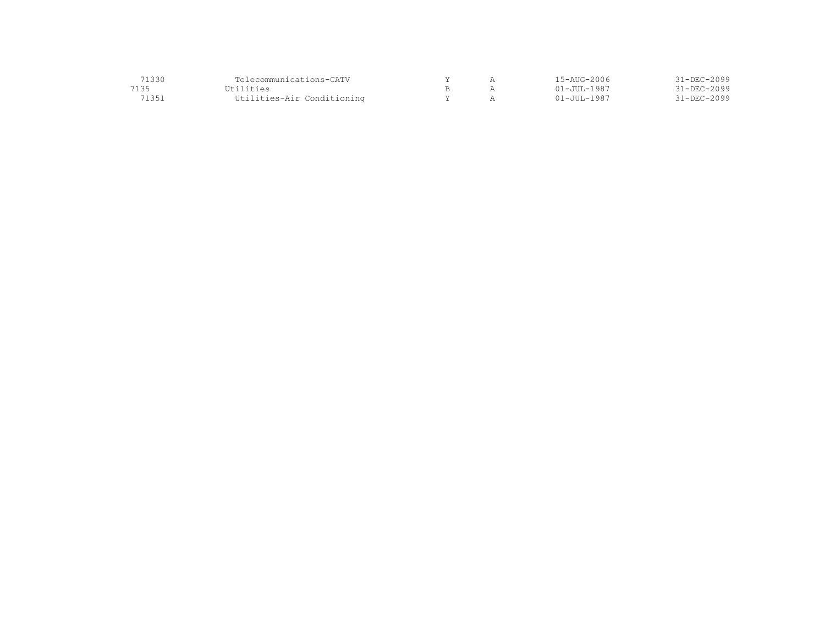| 71330 | Telecommunications-CATV    |  | 15-AUG-2006 | $31 - DEC - 2099$ |
|-------|----------------------------|--|-------------|-------------------|
| 7135  | Utilities                  |  | 01–JUL-1987 | $31 - DEC - 2099$ |
| 71351 | Utilities-Air Conditioning |  | 01–JUL-1987 | $31 - DEC - 2099$ |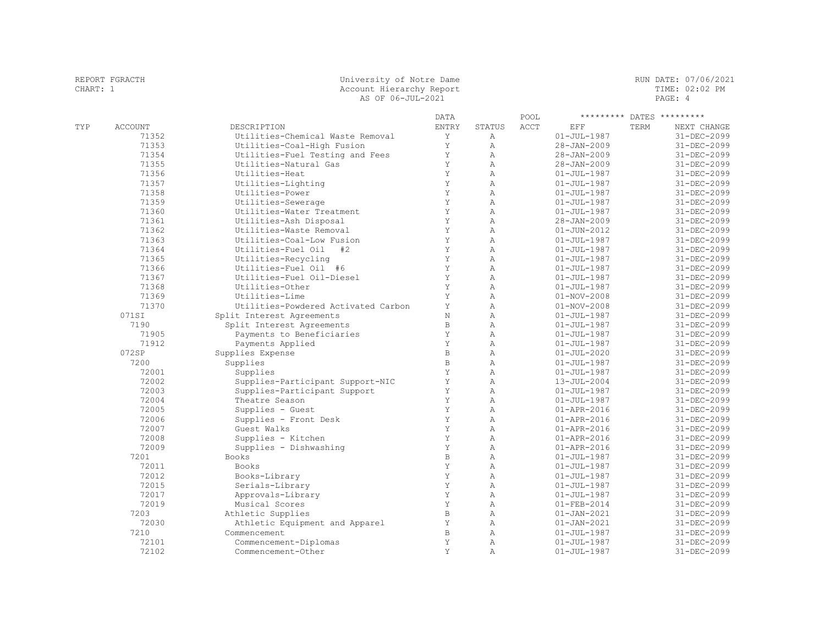| CHART: 1 |                |                                     | Account Hierarchy Report<br>AS OF 06-JUL-2021 |                |      |                   | TIME: 02:02 PM<br>PAGE: 4 |                   |  |
|----------|----------------|-------------------------------------|-----------------------------------------------|----------------|------|-------------------|---------------------------|-------------------|--|
|          |                |                                     | <b>DATA</b>                                   |                | POOL | *********         |                           | DATES *********   |  |
| TYP      | <b>ACCOUNT</b> | DESCRIPTION                         | <b>ENTRY</b>                                  | <b>STATUS</b>  | ACCT | EFF               | TERM                      | NEXT CHANGE       |  |
|          | 71352          | Utilities-Chemical Waste Removal    | Y                                             | $\mathbb{A}$   |      | $01 - JUL - 1987$ |                           | 31-DEC-2099       |  |
|          | 71353          | Utilities-Coal-High Fusion          | Y                                             | $\mathbb{A}$   |      | $28 - JAN - 2009$ |                           | 31-DEC-2099       |  |
|          | 71354          | Utilities-Fuel Testing and Fees     | Y                                             | $\overline{A}$ |      | 28-JAN-2009       |                           | 31-DEC-2099       |  |
|          | 71355          | Utilities-Natural Gas               | Y                                             | $\overline{A}$ |      | $28 - JAN - 2009$ |                           | 31-DEC-2099       |  |
|          | 71356          | Utilities-Heat                      | Y                                             | $\overline{A}$ |      | $01 - JUL - 1987$ |                           | 31-DEC-2099       |  |
|          | 71357          | Utilities-Lighting                  | Y                                             | $\mathbb{A}$   |      | $01 - JUL - 1987$ |                           | 31-DEC-2099       |  |
|          | 71358          | Utilities-Power                     | Y                                             | $\mathbb{A}$   |      | $01 - JUL - 1987$ |                           | 31-DEC-2099       |  |
|          | 71359          | Utilities-Sewerage                  | Y                                             | $\mathbb{A}$   |      | $01 - JUL - 1987$ |                           | 31-DEC-2099       |  |
|          | 71360          | Utilities-Water Treatment           | Y                                             | $\mathbb{A}$   |      | $01 - JUL - 1987$ |                           | 31-DEC-2099       |  |
|          | 71361          | Utilities-Ash Disposal              | Y                                             | $\overline{A}$ |      | $28 - JAN - 2009$ |                           | 31-DEC-2099       |  |
|          | 71362          | Utilities-Waste Removal             | Y                                             | $\overline{A}$ |      | $01 - JUN - 2012$ |                           | 31-DEC-2099       |  |
|          | 71363          | Utilities-Coal-Low Fusion           | Y                                             | $\overline{A}$ |      | $01 - JUL - 1987$ |                           | $31 - DEC - 2099$ |  |
|          | 71364          | Utilities-Fuel Oil<br>#2            | Y                                             | $\overline{A}$ |      | $01 - JUL - 1987$ |                           | 31-DEC-2099       |  |
|          | 71365          | Utilities-Recycling                 | Y                                             | $\overline{A}$ |      | $01 - JUL - 1987$ |                           | 31-DEC-2099       |  |
|          | 71366          | Utilities-Fuel Oil #6               | Y                                             | $\overline{A}$ |      | $01 - JUL - 1987$ |                           | 31-DEC-2099       |  |
|          | 71367          | Utilities-Fuel Oil-Diesel           | $\mathbf Y$                                   | $\mathbb{A}$   |      | $01 - JUL - 1987$ |                           | 31-DEC-2099       |  |
|          | 71368          | Utilities-Other                     | Y                                             | $\overline{A}$ |      | $01 - JUL - 1987$ |                           | 31-DEC-2099       |  |
|          | 71369          | Utilities-Lime                      | Y                                             | $\lambda$      |      | $01 - NOV - 2008$ |                           | 31-DEC-2099       |  |
|          | 71370          | Utilities-Powdered Activated Carbon | Y                                             | $\overline{A}$ |      | $01 - NOV - 2008$ |                           | 31-DEC-2099       |  |
|          | 071SI          | Split Interest Agreements           | $\rm N$                                       | $\overline{A}$ |      | $01 - JUL - 1987$ |                           | 31-DEC-2099       |  |
|          | 7190           | Split Interest Agreements           | $\,$ B                                        | $\overline{A}$ |      | $01 - JUL - 1987$ |                           | $31 - DEC - 2099$ |  |
|          | 71905          | Payments to Beneficiaries           | Y                                             | $\overline{A}$ |      | $01 - JUL - 1987$ |                           | 31-DEC-2099       |  |
|          | 71912          | Payments Applied                    | Y                                             | $\overline{A}$ |      | $01 - JUL - 1987$ |                           | 31-DEC-2099       |  |
|          | 072SP          | Supplies Expense                    | $\,$ B                                        | $\overline{A}$ |      | $01 - JUL - 2020$ |                           | 31-DEC-2099       |  |
|          | 7200           | Supplies                            | $\,$ B                                        | $\overline{A}$ |      | $01 - JUL - 1987$ |                           | 31-DEC-2099       |  |
|          | 72001          | Supplies                            | Y                                             | $\mathbb{A}$   |      | $01 - JUL - 1987$ |                           | 31-DEC-2099       |  |
|          | 72002          | Supplies-Participant Support-NIC    | $\mathbf Y$                                   | $\overline{A}$ |      | 13-JUL-2004       |                           | 31-DEC-2099       |  |
|          | 72003          | Supplies-Participant Support        | Y                                             | $\overline{A}$ |      | $01 - JUL - 1987$ |                           | 31-DEC-2099       |  |
|          | 72004          | Theatre Season                      | Y                                             | $\overline{A}$ |      | $01 - JUL - 1987$ |                           | 31-DEC-2099       |  |
|          | 72005          | Supplies - Guest                    | Y                                             | $\overline{A}$ |      | $01 - APR - 2016$ |                           | 31-DEC-2099       |  |
|          | 72006          | Supplies - Front Desk               | Y                                             | $\overline{A}$ |      | $01 - APR - 2016$ |                           | $31 - DEC - 2099$ |  |
|          | 72007          | Guest Walks                         | Y                                             | $\overline{A}$ |      | $01 - APR - 2016$ |                           | $31 - DEC - 2099$ |  |
|          | 72008          | Supplies - Kitchen                  | Y                                             | $\overline{A}$ |      | $01 - APR - 2016$ |                           | $31 - DEC - 2099$ |  |
|          | 72009          | Supplies - Dishwashing              | Y                                             | $\overline{A}$ |      | $01 - APR - 2016$ |                           | 31-DEC-2099       |  |
|          | 7201           | <b>Books</b>                        | $\,$ B                                        | $\overline{A}$ |      | $01 - JUL - 1987$ |                           | 31-DEC-2099       |  |
|          | 72011          | <b>Books</b>                        | Y                                             | $\overline{A}$ |      | $01 - JUL - 1987$ |                           | 31-DEC-2099       |  |
|          | 72012          | Books-Library                       | Y                                             | $\overline{A}$ |      | $01 - JUL - 1987$ |                           | 31-DEC-2099       |  |
|          | 72015          | Serials-Library                     | Y                                             | $\overline{A}$ |      | $01 - JUL - 1987$ |                           | 31-DEC-2099       |  |
|          | 72017          | Approvals-Library                   | Y                                             | $\overline{A}$ |      | $01 - JUL - 1987$ |                           | 31-DEC-2099       |  |
|          | 72019          | Musical Scores                      | Y                                             | $\overline{A}$ |      | $01 - FEB - 2014$ |                           | 31-DEC-2099       |  |
|          | 7203           | Athletic Supplies                   | $\, {\bf B}$                                  | $\overline{A}$ |      | $01 - JAN - 2021$ |                           | $31 - DEC - 2099$ |  |
|          | 72030          | Athletic Equipment and Apparel      | Y                                             | $\overline{A}$ |      | $01 - JAN - 2021$ |                           | $31 - DEC - 2099$ |  |
|          | 7210           | Commencement                        | $\mathbb B$                                   | $\lambda$      |      | $01 - JUL - 1987$ |                           | $31 - DEC - 2099$ |  |
|          | 72101          | Commencement-Diplomas               | Y                                             | $\overline{A}$ |      | $01 - JUL - 1987$ |                           | $31 - DEC - 2099$ |  |
|          | 72102          | Commencement-Other                  | Y                                             | $\overline{A}$ |      | $01 - JUL - 1987$ |                           | 31-DEC-2099       |  |

REPORT FGRACTH University of Notre Dame RUN DATE: 07/06/2021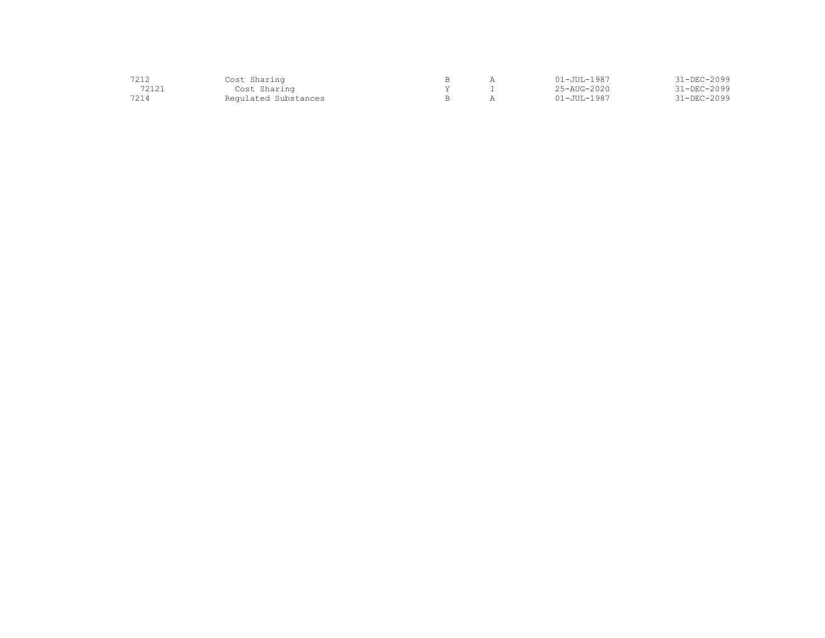| 7212  | Cost Sharing         |  | $01 - JUL - 1987$        | 31-DEC-2099 |
|-------|----------------------|--|--------------------------|-------------|
| 72121 | Cost Sharing         |  | $25 - \text{AUG} - 2020$ | 31-DEC-2099 |
| 7214  | Regulated Substances |  | $01 - JUL - 1987$        | 31-DEC-2099 |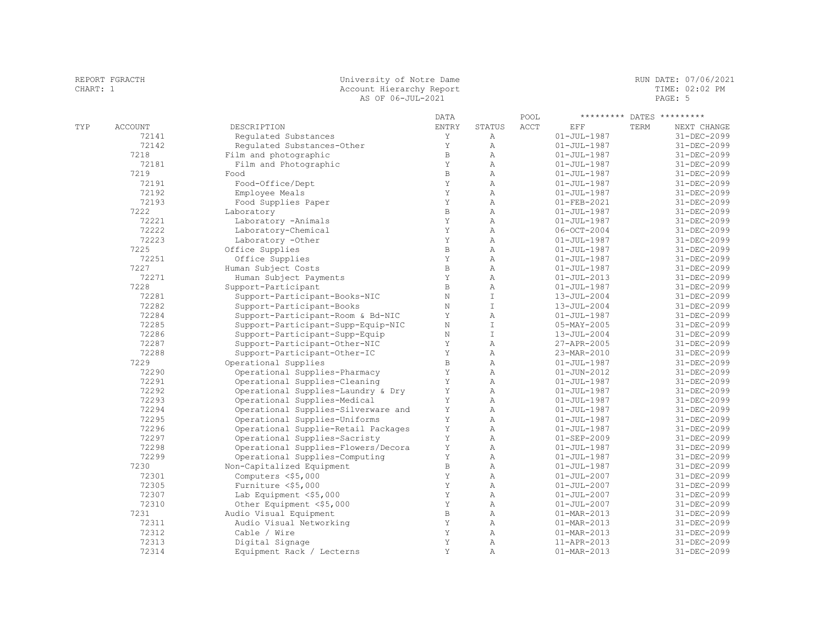| REPORT FGRACTH<br>CHART: 1 |         |                                  | University of Notre Dame<br>Account Hierarchy Report<br>AS OF 06-JUL-2021 |        |      |                   |      | RUN DATE: 07/06/2021<br>TIME: 02:02 PM<br>PAGE: 5 |  |
|----------------------------|---------|----------------------------------|---------------------------------------------------------------------------|--------|------|-------------------|------|---------------------------------------------------|--|
|                            |         |                                  | DATA                                                                      |        | POOL |                   |      | ********* DATES *********                         |  |
| TYP                        | ACCOUNT | DESCRIPTION                      | ENTRY                                                                     | STATUS | ACCT | EFF               | TERM | NEXT CHANGE                                       |  |
|                            | 72141   | Requlated Substances             |                                                                           | Α      |      | 01-JUL-1987       |      | 31-DEC-2099                                       |  |
|                            | 72142   | Requlated Substances-Other       |                                                                           | Α      |      | $01 - JUL - 1987$ |      | 31-DEC-2099                                       |  |
|                            | 7218    | Film and photographic            | B.                                                                        | A      |      | 01-JUL-1987       |      | 31-DEC-2099                                       |  |
|                            | 72101   | $E_{1}$ lw and $D_{0}$ atawanaia |                                                                           |        |      | 01 TIIT 1007      |      | 21 DEC 2000                                       |  |

| 72142 | Regulated Substances-Other          | Y            | Α              | $01 - JUL - 1987$        | 31-DEC-2099       |
|-------|-------------------------------------|--------------|----------------|--------------------------|-------------------|
| 7218  | Film and photographic               | $\, {\bf B}$ | Α              | $01 - JUL - 1987$        | 31-DEC-2099       |
| 72181 | Film and Photographic               | Y            | $\mathbb{A}$   | $01 - JUL - 1987$        | $31 - DEC - 2099$ |
| 7219  | Food                                | $\, {\bf B}$ | $\mathbb{A}$   | $01 - JUL - 1987$        | 31-DEC-2099       |
| 72191 | Food-Office/Dept                    | Y            | Α              | $01 - JUL - 1987$        | 31-DEC-2099       |
| 72192 | Employee Meals                      | Y            | $\lambda$      | $01 - JUL - 1987$        | 31-DEC-2099       |
| 72193 | Food Supplies Paper                 | Y            | Α              | $01 - FEB - 2021$        | 31-DEC-2099       |
| 7222  | Laboratory                          | $\, {\bf B}$ | $\mathbb{A}$   | $01 - JUL - 1987$        | 31-DEC-2099       |
| 72221 | Laboratory -Animals                 | Y            | $\mathbb{A}$   | $01 - JUL - 1987$        | 31-DEC-2099       |
| 72222 | Laboratory-Chemical                 | Y            | $\mathbb{A}$   | $06 - OCT - 2004$        | $31 - DEC - 2099$ |
| 72223 | Laboratory -Other                   | Y            | $\lambda$      | $01 - JUL - 1987$        | $31 - DEC - 2099$ |
| 7225  | Office Supplies                     | $\, {\bf B}$ | $\lambda$      | $01 - JUL - 1987$        | 31-DEC-2099       |
| 72251 | Office Supplies                     | Y            | $\lambda$      | $01 - JUL - 1987$        | 31-DEC-2099       |
| 7227  | Human Subject Costs                 | $\, {\bf B}$ | $\mathbb{A}$   | $01 - JUL - 1987$        | 31-DEC-2099       |
| 72271 | Human Subject Payments              | Y            | $\mathbb{A}$   | $01 - JUL - 2013$        | 31-DEC-2099       |
| 7228  | Support-Participant                 | $\, {\bf B}$ | $\lambda$      | $01 - JUL - 1987$        | 31-DEC-2099       |
| 72281 | Support-Participant-Books-NIC       | $\rm N$      | $\top$         | $13 - JUL - 2004$        | $31 - DEC - 2099$ |
| 72282 | Support-Participant-Books           | N            | $\top$         | 13-JUL-2004              | 31-DEC-2099       |
| 72284 | Support-Participant-Room & Bd-NIC   | Y            | $\mathbb{A}$   | $01 - JUL - 1987$        | 31-DEC-2099       |
| 72285 | Support-Participant-Supp-Equip-NIC  | $\rm N$      | $\mathbb T$    | $05 - MAX - 2005$        | 31-DEC-2099       |
| 72286 | Support-Participant-Supp-Equip      | N            | $\mathbbm{I}$  | $13 - JUL - 2004$        | $31 - DEC - 2099$ |
| 72287 | Support-Participant-Other-NIC       | Y            | $\mathbb{A}$   | 27-APR-2005              | 31-DEC-2099       |
| 72288 | Support-Participant-Other-IC        | Y            | $\lambda$      | 23-MAR-2010              | 31-DEC-2099       |
| 7229  | Operational Supplies                | $\mathbb B$  | $\lambda$      | $01 - JUL - 1987$        | 31-DEC-2099       |
| 72290 | Operational Supplies-Pharmacy       | Y            | $\mathbb{A}$   | $01 - JUN - 2012$        | 31-DEC-2099       |
| 72291 | Operational Supplies-Cleaning       | Y            | $\mathbb{A}$   | $01 - JUL - 1987$        | 31-DEC-2099       |
| 72292 | Operational Supplies-Laundry & Dry  | Y            | $\mathbb{A}$   | $01 - JUL - 1987$        | 31-DEC-2099       |
| 72293 | Operational Supplies-Medical        | Y            | $\mathbb{A}$   | $01 - JUL - 1987$        | 31-DEC-2099       |
| 72294 | Operational Supplies-Silverware and | Y            | $\mathbb{A}$   | $01 - JUL - 1987$        | 31-DEC-2099       |
| 72295 | Operational Supplies-Uniforms       | $\mathbf Y$  | $\overline{A}$ | $01 - JUL - 1987$        | 31-DEC-2099       |
| 72296 | Operational Supplie-Retail Packages | $\mathbf Y$  | Α              | $01 - JUL - 1987$        | 31-DEC-2099       |
| 72297 | Operational Supplies-Sacristy       | Y            | $\mathbb{A}$   | $01 - SEP - 2009$        | 31-DEC-2099       |
| 72298 | Operational Supplies-Flowers/Decora | Y            | $\mathbb{A}$   | $01 - JUL - 1987$        | 31-DEC-2099       |
| 72299 | Operational Supplies-Computing      | Y            | $\mathbb{A}$   | $01 - JUL - 1987$        | 31-DEC-2099       |
| 7230  | Non-Capitalized Equipment           | $\, {\bf B}$ | $\mathbb{A}$   | $01 - JUL - 1987$        | 31-DEC-2099       |
| 72301 | Computers <\$5,000                  | Y            | $\mathbb{A}$   | $01 - JUL - 2007$        | 31-DEC-2099       |
| 72305 | Furniture <\$5,000                  | Y            | $\mathbb{A}$   | $01 - JUL - 2007$        | 31-DEC-2099       |
| 72307 | Lab Equipment <\$5,000              | Y            | Α              | $01 - JUL - 2007$        | 31-DEC-2099       |
| 72310 | Other Equipment <\$5,000            | Υ            | $\mathbb{A}$   | $01 - JUL - 2007$        | 31-DEC-2099       |
| 7231  | Audio Visual Equipment              | $\, {\bf B}$ | $\mathbb{A}$   | $01 - \text{MAR} - 2013$ | $31 - DEC - 2099$ |
| 72311 | Audio Visual Networking             | Y            | $\mathbb{A}$   | $01 - MAR - 2013$        | $31 - DEC - 2099$ |
| 72312 | Cable / Wire                        | Y            | $\mathbb{A}$   | $01 - MAR - 2013$        | 31-DEC-2099       |
| 72313 | Digital Signage                     | Y            | $\mathbb{A}$   | 11-APR-2013              | 31-DEC-2099       |
| 72314 | Equipment Rack / Lecterns           | Y            | $\mathbb{A}$   | 01-MAR-2013              | 31-DEC-2099       |
|       |                                     |              |                |                          |                   |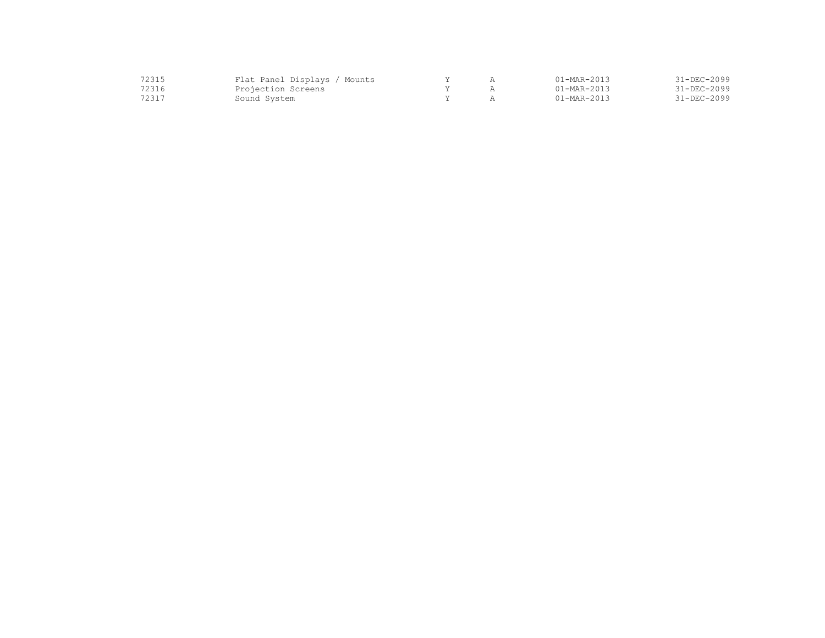| 72315 | Flat Panel Displays / Mounts |  | $01 - \text{MAR} - 2013$ | 31-DEC-2099 |
|-------|------------------------------|--|--------------------------|-------------|
| 72316 | Projection Screens           |  | $01 - \text{MAR} - 2013$ | 31-DEC-2099 |
| 72317 | Sound System                 |  | $01 - \text{MAR} - 2013$ | 31-DEC-2099 |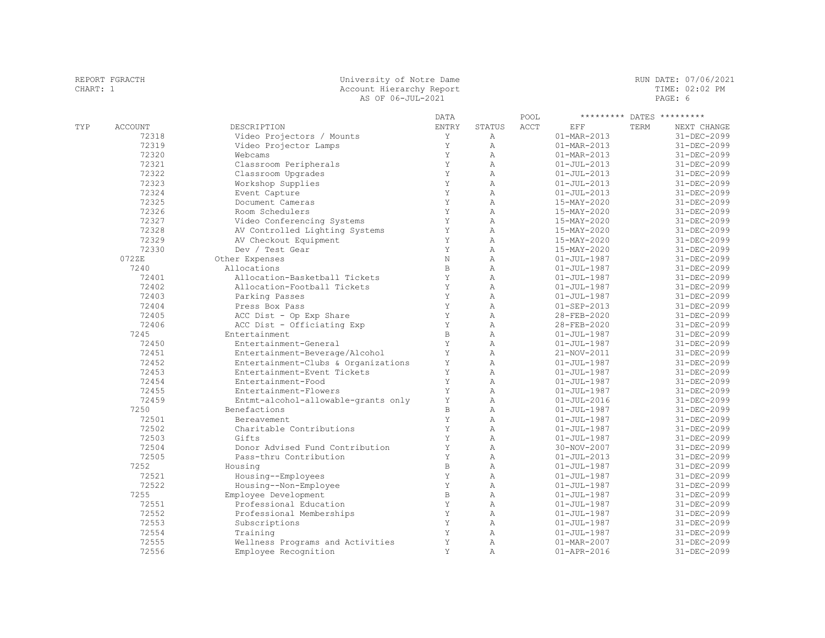|     |                | AS OF 06-JUL-2021                   |              |                |      |                          |      | PAGE: 6                   |
|-----|----------------|-------------------------------------|--------------|----------------|------|--------------------------|------|---------------------------|
|     |                |                                     | <b>DATA</b>  |                | POOL |                          |      | ********* DATES ********* |
| TYP | <b>ACCOUNT</b> | DESCRIPTION                         | <b>ENTRY</b> | STATUS         | ACCT | EFF                      | TERM | NEXT CHANGE               |
|     | 72318          | Video Projectors / Mounts           | Y            | $\mathbb{A}$   |      | $01 - \text{MAR} - 2013$ |      | 31-DEC-2099               |
|     | 72319          | Video Projector Lamps               | Y            | $\mathbb{A}$   |      | $01 - MAR - 2013$        |      | 31-DEC-2099               |
|     | 72320          | Webcams                             | Y            | $\mathbb{A}$   |      | $01 - MAR - 2013$        |      | 31-DEC-2099               |
|     | 72321          | Classroom Peripherals               | Y            | $\mathbb{A}$   |      | $01 - JUL - 2013$        |      | 31-DEC-2099               |
|     | 72322          | Classroom Upgrades                  | Y            | $\overline{A}$ |      | $01 - JUL - 2013$        |      | 31-DEC-2099               |
|     | 72323          | Workshop Supplies                   | Y            | $\overline{A}$ |      | $01 - JUL - 2013$        |      | 31-DEC-2099               |
|     | 72324          | Event Capture                       | Y            | $\overline{A}$ |      | $01 - JUL - 2013$        |      | 31-DEC-2099               |
|     | 72325          | Document Cameras                    | Y            | $\overline{A}$ |      | 15-MAY-2020              |      | 31-DEC-2099               |
|     | 72326          | Room Schedulers                     | Y            | $\overline{A}$ |      | 15-MAY-2020              |      | 31-DEC-2099               |
|     | 72327          | Video Conferencing Systems          | Y            | $\overline{A}$ |      | 15-MAY-2020              |      | $31 - DEC - 2099$         |
|     | 72328          | AV Controlled Lighting Systems      | Y            | $\mathbb{A}$   |      | 15-MAY-2020              |      | 31-DEC-2099               |
|     | 72329          | AV Checkout Equipment               | Y            | $\mathbb{A}$   |      | 15-MAY-2020              |      | 31-DEC-2099               |
|     | 72330          | Dev / Test Gear                     | Y            | $\mathbb{A}$   |      | 15-MAY-2020              |      | 31-DEC-2099               |
|     | 072ZE          | Other Expenses                      | $\rm N$      | $\overline{A}$ |      | $01 - JUL - 1987$        |      | 31-DEC-2099               |
|     | 7240           | Allocations                         | $\, {\bf B}$ | $\overline{A}$ |      | $01 - JUL - 1987$        |      | 31-DEC-2099               |
|     | 72401          | Allocation-Basketball Tickets       | Y            | $\overline{A}$ |      | $01 - JUL - 1987$        |      | $31 - DEC - 2099$         |
|     | 72402          | Allocation-Football Tickets         | Y            | A              |      | $01 - JUL - 1987$        |      | $31 - DEC - 2099$         |
|     | 72403          | Parking Passes                      | Y            | $\overline{A}$ |      | $01 - JUL - 1987$        |      | 31-DEC-2099               |
|     | 72404          | Press Box Pass                      | Y            | $\overline{A}$ |      | $01 - SEP - 2013$        |      | $31 - DEC - 2099$         |
|     | 72405          | ACC Dist - Op Exp Share             | Y            | $\overline{A}$ |      | 28-FEB-2020              |      | 31-DEC-2099               |
|     | 72406          | ACC Dist - Officiating Exp          | Υ            | $\lambda$      |      | 28-FEB-2020              |      | $31 - DEC - 2099$         |
|     | 7245           | Entertainment                       | $\, {\bf B}$ | $\mathbb{A}$   |      | $01 - JUL - 1987$        |      | 31-DEC-2099               |
|     | 72450          | Entertainment-General               | Y            | $\mathbb{A}$   |      | $01 - JUL - 1987$        |      | 31-DEC-2099               |
|     | 72451          | Entertainment-Beverage/Alcohol      | Υ            | $\overline{A}$ |      | 21-NOV-2011              |      | 31-DEC-2099               |
|     | 72452          | Entertainment-Clubs & Organizations | Υ            | $\overline{A}$ |      | $01 - JUL - 1987$        |      | 31-DEC-2099               |
|     | 72453          | Entertainment-Event Tickets         | Y            | A              |      | $01 - JUL - 1987$        |      | 31-DEC-2099               |
|     | 72454          | Entertainment-Food                  | Y            | $\overline{A}$ |      | $01 - JUL - 1987$        |      | 31-DEC-2099               |
|     | 72455          | Entertainment-Flowers               | Y            | A              |      | $01 - JUL - 1987$        |      | 31-DEC-2099               |
|     | 72459          | Entmt-alcohol-allowable-grants only | Y            | A              |      | $01 - JUL - 2016$        |      | 31-DEC-2099               |
|     | 7250           | Benefactions                        | $\mathbf B$  | $\overline{A}$ |      | $01 - JUL - 1987$        |      | 31-DEC-2099               |
|     | 72501          | Bereavement                         | Y            | $\overline{A}$ |      | $01 - JUL - 1987$        |      | $31 - DEC - 2099$         |
|     | 72502          | Charitable Contributions            | Y            | $\mathbb{A}$   |      | $01 - JUL - 1987$        |      | 31-DEC-2099               |
|     | 72503          | Gifts                               | Y            | $\mathbb{A}$   |      | $01 - JUL - 1987$        |      | 31-DEC-2099               |
|     | 72504          | Donor Advised Fund Contribution     | Y            | $\mathbb{A}$   |      | 30-NOV-2007              |      | 31-DEC-2099               |
|     | 72505          | Pass-thru Contribution              | Y            | $\overline{A}$ |      | $01 - JUL - 2013$        |      | 31-DEC-2099               |
|     | 7252           | Housing                             | $\mathbf B$  | $\overline{A}$ |      | $01 - JUL - 1987$        |      | 31-DEC-2099               |
|     | 72521          | Housing--Employees                  | Y            | $\overline{A}$ |      | $01 - JUL - 1987$        |      | 31-DEC-2099               |
|     | 72522          | Housing--Non-Employee               | Y            | $\mathbb{A}$   |      | $01 - JUL - 1987$        |      | 31-DEC-2099               |
|     | 7255           | Employee Development                | $\mathbf B$  | $\overline{A}$ |      | $01 - JUL - 1987$        |      | 31-DEC-2099               |
|     | 72551          | Professional Education              | Y            | A              |      | $01 - JUL - 1987$        |      | 31-DEC-2099               |
|     | 72552          | Professional Memberships            | Y            | $\mathbb{A}$   |      | $01 - JUL - 1987$        |      | $31 - DEC - 2099$         |
|     | 72553          | Subscriptions                       | Y<br>Y       | $\mathbb{A}$   |      | $01 - JUL - 1987$        |      | 31-DEC-2099               |
|     | 72554          | Training                            |              | $\mathbb{A}$   |      | $01 - JUL - 1987$        |      | 31-DEC-2099               |
|     | 72555          | Wellness Programs and Activities    | Y            | $\overline{A}$ |      | $01 - MAR - 2007$        |      | 31-DEC-2099               |

72556 Employee Recognition Y A 01-APR-2016 31-DEC-2099

REPORT FGRACTH CHART END CHART: 1 CHART: 1 CHART: 1 CHART: 1 CHART: 1 CHART: 1 CHART: 1 CHART: 1 CHART: 02:02 PM CHART: 1 Account Hierarchy Report TIME: 02:02 PM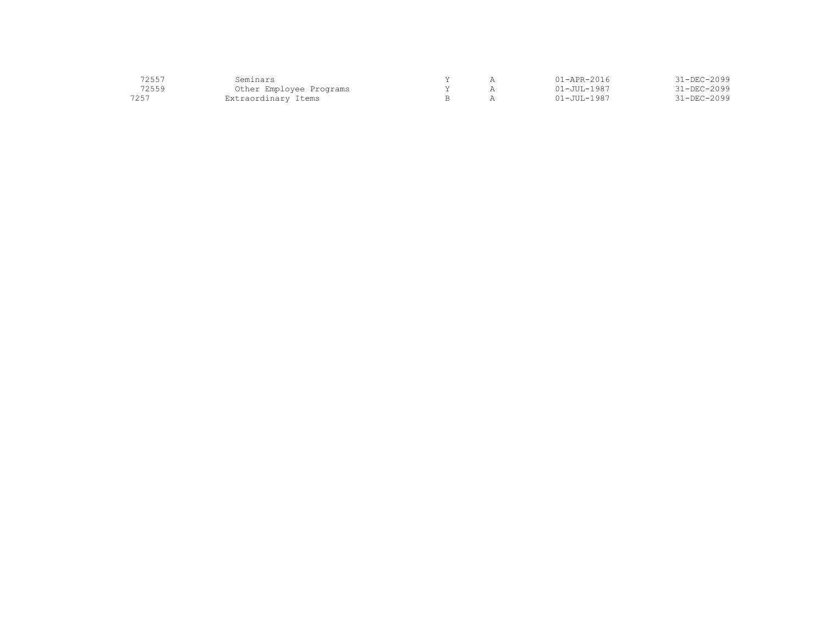| 72557 | Seminars                |  | 11-APR-2016        | 31-DEC-2099       |
|-------|-------------------------|--|--------------------|-------------------|
| 72559 | Other Employee Programs |  | $01 - JUII - 1987$ | $31 - DEC - 2099$ |
| 7257  | Extraordinary Items     |  | $01 - JUII - 1987$ | $31 - DEC - 2099$ |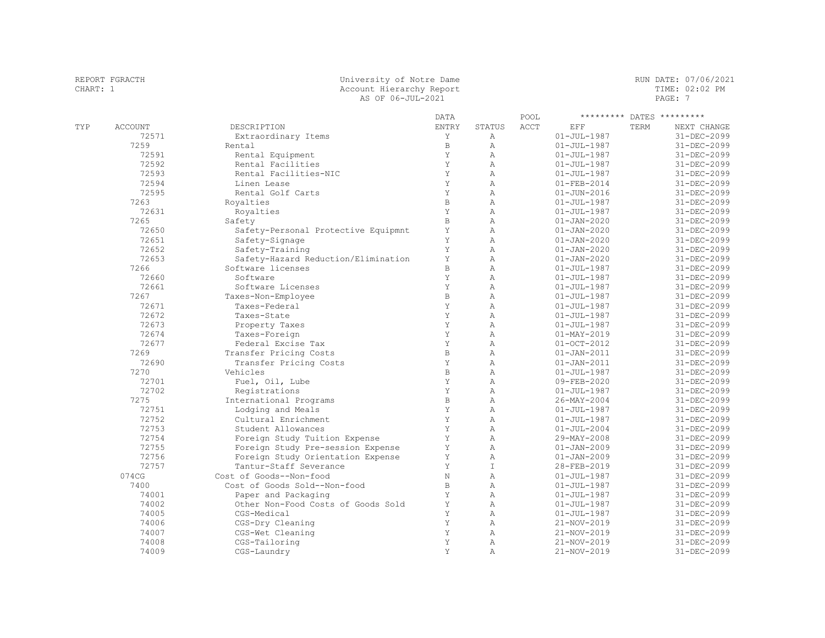| REPORT FGRACTH<br>CHART: 1 | University of Notre Dame<br>Account Hierarchy Report<br>AS OF 06-JUL-2021 |      | RUN DATE: 07/06/2021<br>TIME: 02:02 PM<br>PAGE: 7 |
|----------------------------|---------------------------------------------------------------------------|------|---------------------------------------------------|
|                            | DATA                                                                      | POOL | ********* DATES *********                         |

| TYP | ACCOUNT | DESCRIPTION                         | ENTRY        | STATUS         | ACCT | EFF               | TERM | NEXT CHANGE       |
|-----|---------|-------------------------------------|--------------|----------------|------|-------------------|------|-------------------|
|     | 72571   | Extraordinary Items                 | Υ            | Α              |      | $01 - JUL - 1987$ |      | 31-DEC-2099       |
|     | 7259    | Rental                              | $\, {\bf B}$ | $\mathbb{A}$   |      | $01 - JUL - 1987$ |      | 31-DEC-2099       |
|     | 72591   | Rental Equipment                    | Y            | $\mathbb{A}$   |      | $01 - JUL - 1987$ |      | 31-DEC-2099       |
|     | 72592   | Rental Facilities                   | Y            | $\overline{A}$ |      | $01 - JUL - 1987$ |      | 31-DEC-2099       |
|     | 72593   | Rental Facilities-NIC               | Y            | $\mathbb{A}$   |      | $01 - JUL - 1987$ |      | 31-DEC-2099       |
|     | 72594   | Linen Lease                         | Y            | $\overline{A}$ |      | $01 - FEB - 2014$ |      | 31-DEC-2099       |
|     | 72595   | Rental Golf Carts                   | Y            | $\mathbb{A}$   |      | $01 - JUN - 2016$ |      | 31-DEC-2099       |
|     | 7263    | Royalties                           | $\mathbf B$  | $\lambda$      |      | $01 - JUL - 1987$ |      | 31-DEC-2099       |
|     | 72631   | Royalties                           | Y            | $\mathbb{A}$   |      | $01 - JUL - 1987$ |      | 31-DEC-2099       |
|     | 7265    | Safety                              | $\mathbf B$  | $\mathbb{A}$   |      | $01 - JAN - 2020$ |      | $31 - DEC - 2099$ |
|     | 72650   | Safety-Personal Protective Equipmnt | $\mathbf Y$  | $\mathbb{A}$   |      | $01 - JAN - 2020$ |      | 31-DEC-2099       |
|     | 72651   | Safety-Signage                      | Y            | $\overline{A}$ |      | $01 - JAN - 2020$ |      | 31-DEC-2099       |
|     | 72652   | Safety-Training                     | Y            | $\mathbb{A}$   |      | $01 - JAN - 2020$ |      | 31-DEC-2099       |
|     | 72653   | Safety-Hazard Reduction/Elimination | Y            | $\lambda$      |      | $01 - JAN - 2020$ |      | 31-DEC-2099       |
|     | 7266    | Software licenses                   | $\mathbf{B}$ | $\overline{A}$ |      | $01 - JUL - 1987$ |      | 31-DEC-2099       |
|     | 72660   | Software                            | Y            | $\overline{A}$ |      | $01 - JUL - 1987$ |      | 31-DEC-2099       |
|     | 72661   | Software Licenses                   | Y            | $\lambda$      |      | $01 - JUL - 1987$ |      | 31-DEC-2099       |
|     | 7267    | Taxes-Non-Employee                  | $\mathbf B$  | $\mathbb{A}$   |      | $01 - JUL - 1987$ |      | $31 - DEC - 2099$ |
|     | 72671   | Taxes-Federal                       | Y            | $\mathbb{A}$   |      | $01 - JUL - 1987$ |      | 31-DEC-2099       |
|     | 72672   | Taxes-State                         | Y            | $\lambda$      |      | $01 - JUL - 1987$ |      | $31 - DEC - 2099$ |
|     | 72673   | Property Taxes                      | Y            | $\mathbb{A}$   |      | $01 - JUL - 1987$ |      | $31 - DEC - 2099$ |
|     | 72674   | Taxes-Foreign                       | Y            | $\mathbb{A}$   |      | $01 - MAX - 2019$ |      | 31-DEC-2099       |
|     | 72677   | Federal Excise Tax                  | Y            | $\lambda$      |      | $01 - OCT - 2012$ |      | 31-DEC-2099       |
|     | 7269    | Transfer Pricing Costs              | $\mathbf{B}$ | $\lambda$      |      | $01 - JAN - 2011$ |      | 31-DEC-2099       |
|     | 72690   | Transfer Pricing Costs              | Y            | $\lambda$      |      | $01 - JAN - 2011$ |      | 31-DEC-2099       |
|     | 7270    | Vehicles                            | $\mathbf B$  | $\lambda$      |      | $01 - JUL - 1987$ |      | 31-DEC-2099       |
|     | 72701   | Fuel, Oil, Lube                     | Y            | $\lambda$      |      | 09-FEB-2020       |      | 31-DEC-2099       |
|     | 72702   | Registrations                       | Y            | $\mathbb{A}$   |      | $01 - JUL - 1987$ |      | 31-DEC-2099       |
|     | 7275    | International Programs              | $\, {\bf B}$ | $\mathbb{A}$   |      | $26 - MAX - 2004$ |      | 31-DEC-2099       |
|     | 72751   | Lodging and Meals                   | Y            | $\mathbb{A}$   |      | $01 - JUL - 1987$ |      | 31-DEC-2099       |
|     | 72752   | Cultural Enrichment                 | Y            | $\lambda$      |      | $01 - JUL - 1987$ |      | 31-DEC-2099       |
|     | 72753   | Student Allowances                  | Y            | $\overline{A}$ |      | $01 - JUL - 2004$ |      | 31-DEC-2099       |
|     | 72754   | Foreign Study Tuition Expense       | $\mathbf Y$  | $\lambda$      |      | 29-MAY-2008       |      | 31-DEC-2099       |
|     | 72755   | Foreign Study Pre-session Expense   | Y            | $\mathbb{A}$   |      | $01 - JAN - 2009$ |      | 31-DEC-2099       |
|     | 72756   | Foreign Study Orientation Expense   | Y            | $\overline{A}$ |      | $01 - JAN - 2009$ |      | 31-DEC-2099       |
|     | 72757   | Tantur-Staff Severance              | Y            | $\top$         |      | 28-FEB-2019       |      | 31-DEC-2099       |
|     | 074CG   | Cost of Goods--Non-food             | $\rm N$      | $\mathbb{A}$   |      | $01 - JUL - 1987$ |      | 31-DEC-2099       |
|     | 7400    | Cost of Goods Sold--Non-food        | $\, {\bf B}$ | Α              |      | $01 - JUL - 1987$ |      | 31-DEC-2099       |
|     | 74001   | Paper and Packaging                 | Y            | $\mathbb{A}$   |      | $01 - JUL - 1987$ |      | $31 - DEC - 2099$ |
|     | 74002   | Other Non-Food Costs of Goods Sold  | Y            | $\mathbb{A}$   |      | $01 - JUL - 1987$ |      | 31-DEC-2099       |
|     | 74005   | CGS-Medical                         | Y            | $\overline{A}$ |      | $01 - JUL - 1987$ |      | 31-DEC-2099       |
|     | 74006   | CGS-Dry Cleaning                    | Y            | $\mathbb{A}$   |      | 21-NOV-2019       |      | 31-DEC-2099       |
|     | 74007   | CGS-Wet Cleaning                    | Y            | $\overline{A}$ |      | 21-NOV-2019       |      | 31-DEC-2099       |
|     | 74008   | CGS-Tailoring                       | Y            | $\lambda$      |      | 21-NOV-2019       |      | 31-DEC-2099       |
|     | 74009   | CGS-Laundry                         | Y            | Α              |      | 21-NOV-2019       |      | 31-DEC-2099       |
|     |         |                                     |              |                |      |                   |      |                   |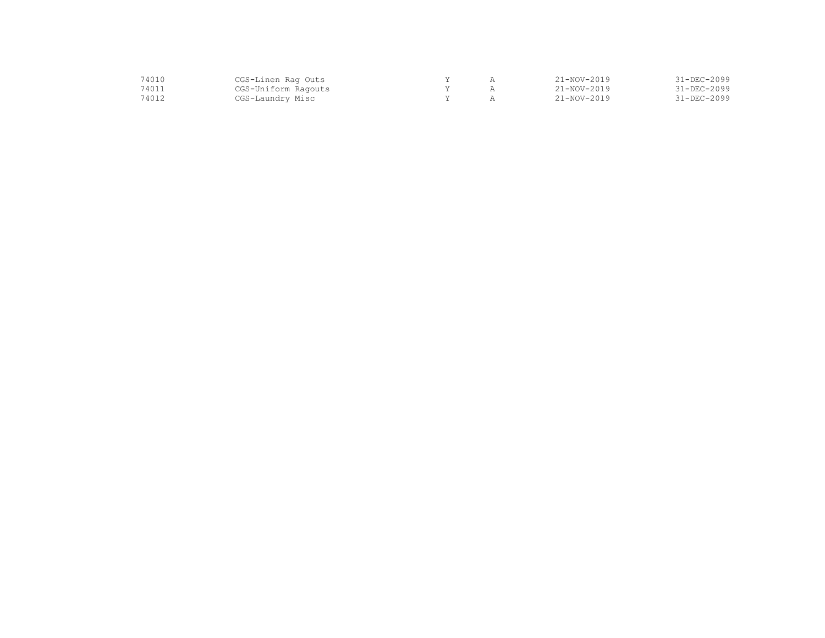| 14010 | CGS-Linen Rag Outs  |  | 21-NOV-2019       | 31-DEC-2099 |
|-------|---------------------|--|-------------------|-------------|
| 14011 | CGS-Uniform Ragouts |  | $21 - NOV - 2019$ | 31-DEC-2099 |
| '4012 | CGS-Laundry Misc    |  | $21 - NOV - 2019$ | 31-DEC-2099 |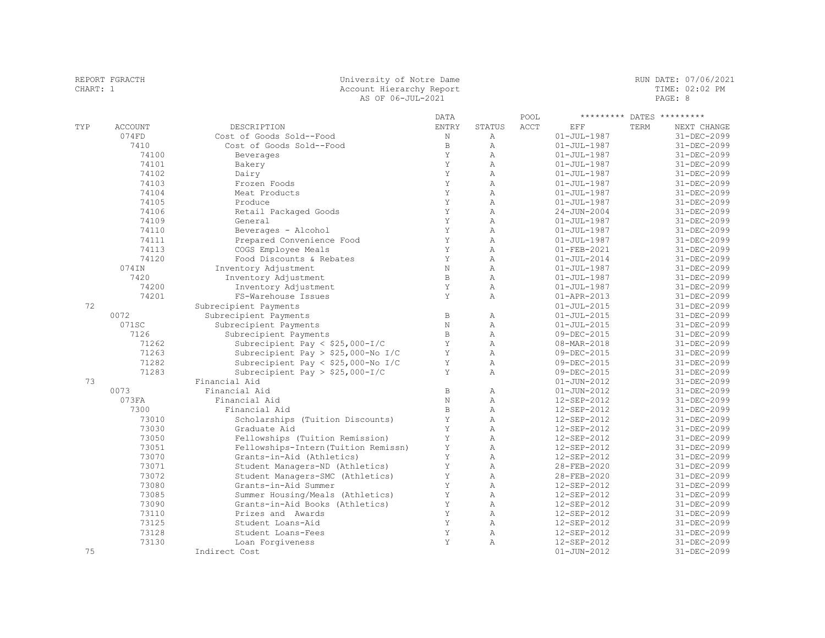| REPORT FGRACTH | University of Notre Dame | RUN DATE: 07/06/2021 |
|----------------|--------------------------|----------------------|
| CHART: 1       | Account Hierarchy Report | TIME: 02:02 PM       |
|                | AS OF 06-JUL-2021        | PAGE: 8              |
|                |                          |                      |

DATA POOL \*\*\*\*\*\*\*\*\* DATES \*\*\*\*\*\*\*\*\*

| TYP | ACCOUNT | DESCRIPTION                          | ENTRY          | STATUS         | ACCT | EFF               | TERM | NEXT CHANGE       |
|-----|---------|--------------------------------------|----------------|----------------|------|-------------------|------|-------------------|
|     | 074FD   | Cost of Goods Sold--Food             | N              | Α              |      | $01 - JUL - 1987$ |      | 31-DEC-2099       |
|     | 7410    | Cost of Goods Sold--Food             | $\mathbb B$    | $\mathbb{A}$   |      | $01 - JUL - 1987$ |      | 31-DEC-2099       |
|     | 74100   | Beverages                            | Y              | $\mathbb{A}$   |      | $01 - JUL - 1987$ |      | 31-DEC-2099       |
|     | 74101   | Bakery                               | Y              | $\overline{A}$ |      | $01 - JUL - 1987$ |      | 31-DEC-2099       |
|     | 74102   | Dairy                                | Y              | $\mathbb{A}$   |      | $01 - JUL - 1987$ |      | 31-DEC-2099       |
|     | 74103   | Frozen Foods                         | Y              | $\mathbb{A}$   |      | $01 - JUL - 1987$ |      | 31-DEC-2099       |
|     | 74104   | Meat Products                        | Y              | $\mathbb{A}$   |      | $01 - JUL - 1987$ |      | 31-DEC-2099       |
|     | 74105   | Produce                              | Y              | $\mathbb{A}$   |      | $01 - JUL - 1987$ |      | 31-DEC-2099       |
|     | 74106   | Retail Packaged Goods                | Y              | $\mathbb{A}$   |      | $24 - JUN - 2004$ |      | 31-DEC-2099       |
|     | 74109   | General                              | Y              | $\mathbb{A}$   |      | $01 - JUL - 1987$ |      | 31-DEC-2099       |
|     | 74110   | Beverages - Alcohol                  | Y              | $\mathbb{A}$   |      | $01 - JUL - 1987$ |      | 31-DEC-2099       |
|     | 74111   | Prepared Convenience Food            | Y              | $\mathbb{A}$   |      | $01 - JUL - 1987$ |      | 31-DEC-2099       |
|     | 74113   | COGS Employee Meals                  | Υ              | $\mathbb{A}$   |      | $01 - FEB - 2021$ |      | 31-DEC-2099       |
|     | 74120   | Food Discounts & Rebates             | Y              | $\mathbb{A}$   |      | $01 - JUL - 2014$ |      | 31-DEC-2099       |
|     | 074IN   | Inventory Adjustment                 | N              | $\overline{A}$ |      | $01 - JUL - 1987$ |      | 31-DEC-2099       |
|     | 7420    | Inventory Adjustment                 | $\, {\bf B}$   | $\mathbb{A}$   |      | $01 - JUL - 1987$ |      | $31 - DEC - 2099$ |
|     | 74200   | Inventory Adjustment                 | Y              | $\mathbb{A}$   |      | $01 - JUL - 1987$ |      | 31-DEC-2099       |
|     | 74201   | FS-Warehouse Issues                  | Y              | $\mathbb{A}$   |      | 01-APR-2013       |      | 31-DEC-2099       |
| 72  |         | Subrecipient Payments                |                |                |      | $01 - JUL - 2015$ |      | 31-DEC-2099       |
|     | 0072    | Subrecipient Payments                | $\, {\bf B}$   | $\mathbb{A}$   |      | $01 - JUL - 2015$ |      | 31-DEC-2099       |
|     | 071SC   | Subrecipient Payments                | $\rm N$        | $\mathbb{A}$   |      | $01 - JUL - 2015$ |      | 31-DEC-2099       |
|     | 7126    | Subrecipient Payments                | $\mathbf{B}$   | $\mathbb{A}$   |      | 09-DEC-2015       |      | 31-DEC-2099       |
|     | 71262   | Subrecipient Pay < $$25,000-I/C$     | Y              | $\mathbb{A}$   |      | 08-MAR-2018       |      | 31-DEC-2099       |
|     | 71263   | Subrecipient Pay > $$25,000-No I/C$  | Y              | $\mathbb{A}$   |      | 09-DEC-2015       |      | 31-DEC-2099       |
|     | 71282   | Subrecipient Pay < $$25,000-No I/C$  | Y              | $\mathbb{A}$   |      | 09-DEC-2015       |      | 31-DEC-2099       |
|     | 71283   | Subrecipient Pay > $$25,000-I/C$     | Y              | $\overline{A}$ |      | 09-DEC-2015       |      | 31-DEC-2099       |
| 73  |         | Financial Aid                        |                |                |      | $01 - JUN - 2012$ |      | 31-DEC-2099       |
|     | 0073    | Financial Aid                        | $\mathbb B$    | $\overline{A}$ |      | $01 - JUN - 2012$ |      | 31-DEC-2099       |
|     | 073FA   | Financial Aid                        | $\mathbb N$    | $\mathbb{A}$   |      | 12-SEP-2012       |      | 31-DEC-2099       |
|     | 7300    | Financial Aid                        | $\overline{B}$ | $\overline{A}$ |      | 12-SEP-2012       |      | 31-DEC-2099       |
|     | 73010   | Scholarships (Tuition Discounts)     | Y              | $\mathbb{A}$   |      | 12-SEP-2012       |      | 31-DEC-2099       |
|     | 73030   | Graduate Aid                         | Y              | $\overline{A}$ |      | 12-SEP-2012       |      | 31-DEC-2099       |
|     | 73050   | Fellowships (Tuition Remission)      | Y              | $\mathbb{A}$   |      | 12-SEP-2012       |      | 31-DEC-2099       |
|     | 73051   | Fellowships-Intern (Tuition Remissn) | Y              | $\overline{A}$ |      | 12-SEP-2012       |      | 31-DEC-2099       |
|     | 73070   | Grants-in-Aid (Athletics)            | Y              | $\overline{A}$ |      | 12-SEP-2012       |      | 31-DEC-2099       |
|     | 73071   | Student Managers-ND (Athletics)      | Y              | $\mathbb{A}$   |      | 28-FEB-2020       |      | 31-DEC-2099       |
|     | 73072   | Student Managers-SMC (Athletics)     | Y              | $\overline{A}$ |      | 28-FEB-2020       |      | 31-DEC-2099       |
|     | 73080   | Grants-in-Aid Summer                 | Y              | $\mathbb{A}$   |      | 12-SEP-2012       |      | 31-DEC-2099       |
|     | 73085   | Summer Housing/Meals (Athletics)     | Y              | $\overline{A}$ |      | 12-SEP-2012       |      | 31-DEC-2099       |
|     | 73090   | Grants-in-Aid Books (Athletics)      | Y              | $\mathbb{A}$   |      | 12-SEP-2012       |      | 31-DEC-2099       |
|     | 73110   | Prizes and Awards                    | Y              | $\overline{A}$ |      | 12-SEP-2012       |      | 31-DEC-2099       |
|     | 73125   | Student Loans-Aid                    | Y              | $\mathbb{A}$   |      | 12-SEP-2012       |      | 31-DEC-2099       |
|     | 73128   | Student Loans-Fees                   | Y              | $\mathbb{A}$   |      | 12-SEP-2012       |      | 31-DEC-2099       |
|     | 73130   | Loan Forgiveness                     | Y              | $\overline{A}$ |      | 12-SEP-2012       |      | 31-DEC-2099       |
| 75  |         | Indirect Cost                        |                |                |      | $01 - JUN - 2012$ |      | 31-DEC-2099       |
|     |         |                                      |                |                |      |                   |      |                   |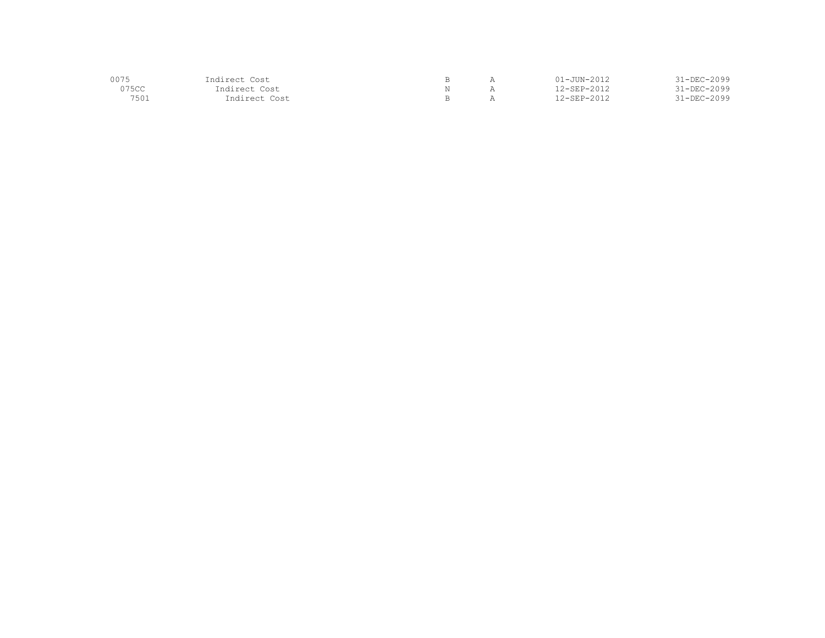| 0075  | Indirect Cost |  | $01 - JUN - 2012$ | $31 - DEC - 2099$ |
|-------|---------------|--|-------------------|-------------------|
| 075CC | Indirect Cost |  | 12-SEP-2012       | $31 - DEC - 2099$ |
| 7501  | Indirect Cost |  | 12-SEP-2012       | $31 - DEC - 2099$ |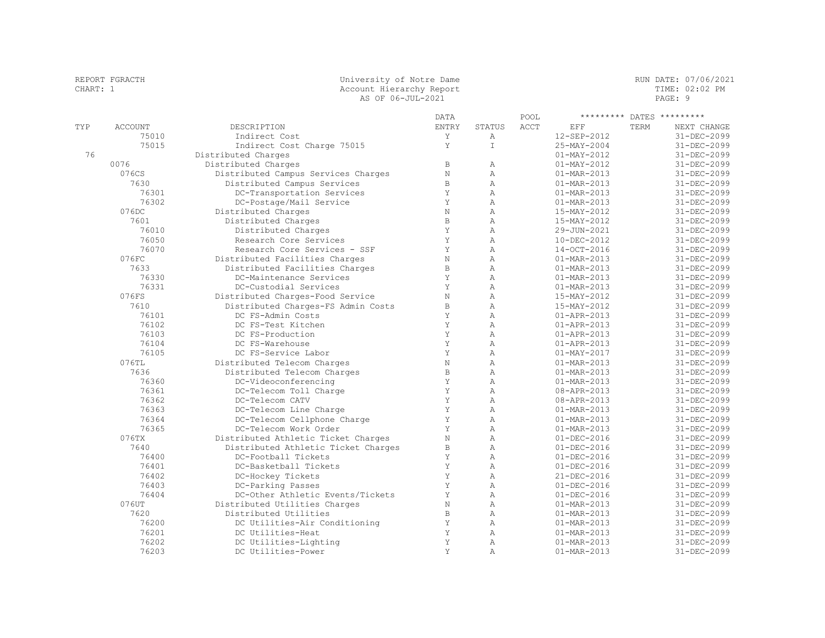|          | REPORT FGRACTH | University of Notre Dame            |              |                |      |                          |      | RUN DATE: 07/06/2021 |
|----------|----------------|-------------------------------------|--------------|----------------|------|--------------------------|------|----------------------|
| CHART: 1 |                | Account Hierarchy Report            |              |                |      |                          |      | TIME: 02:02 PM       |
|          |                | AS OF 06-JUL-2021                   |              |                |      |                          |      | PAGE: 9              |
|          |                |                                     | <b>DATA</b>  |                | POOL | *********                |      | DATES *********      |
| TYP      | <b>ACCOUNT</b> | DESCRIPTION                         | ENTRY        | STATUS         | ACCT | EFF                      | TERM | NEXT CHANGE          |
|          | 75010          | Indirect Cost                       | Υ            | Α              |      | 12-SEP-2012              |      | 31-DEC-2099          |
|          | 75015          | Indirect Cost Charge 75015          | Y            | $\top$         |      | 25-MAY-2004              |      | 31-DEC-2099          |
| 76       |                | Distributed Charges                 |              |                |      | $01 - MAX - 2012$        |      | 31-DEC-2099          |
|          | 0076           | Distributed Charges                 | $\,$ B       | $\mathbb{A}$   |      | $01 - MAX - 2012$        |      | 31-DEC-2099          |
|          | 076CS          | Distributed Campus Services Charges | $\mathbf N$  | A              |      | $01 - \text{MAR} - 2013$ |      | 31-DEC-2099          |
|          | 7630           | Distributed Campus Services         | $\, {\bf B}$ | A              |      | $01 - MAR - 2013$        |      | 31-DEC-2099          |
|          | 76301          | DC-Transportation Services          | Y            | $\mathbb{A}$   |      | $01 - MAR - 2013$        |      | 31-DEC-2099          |
|          | 76302          | DC-Postage/Mail Service             | Y            | $\mathbb{A}$   |      | $01 - MAR - 2013$        |      | 31-DEC-2099          |
|          | 076DC          | Distributed Charges                 | $\rm N$      | $\lambda$      |      | 15-MAY-2012              |      | 31-DEC-2099          |
|          | 7601           | Distributed Charges                 | $\, {\bf B}$ | A              |      | 15-MAY-2012              |      | 31-DEC-2099          |
|          | 76010          | Distributed Charges                 | Y            | $\overline{A}$ |      | 29-JUN-2021              |      | 31-DEC-2099          |
|          | 76050          | Research Core Services              | Y            | A              |      | 10-DEC-2012              |      | 31-DEC-2099          |
|          | 76070          | Research Core Services - SSF        | $\mathbf Y$  | A              |      | 14-OCT-2016              |      | 31-DEC-2099          |
|          | 076FC          | Distributed Facilities Charges      | $\mathcal N$ | A              |      | 01-MAR-2013              |      | 31-DEC-2099          |
|          | 7633           | Distributed Facilities Charges      | $\, {\bf B}$ | $\mathbb{A}$   |      | 01-MAR-2013              |      | 31-DEC-2099          |
|          | 76330          | DC-Maintenance Services             | Y            | $\mathbb{A}$   |      | 01-MAR-2013              |      | 31-DEC-2099          |
|          | 76331          | DC-Custodial Services               | Y            | $\lambda$      |      | $01 - MAR - 2013$        |      | 31-DEC-2099          |
|          | 076FS          | Distributed Charges-Food Service    | $\mathbf N$  | $\mathbb{A}$   |      | 15-MAY-2012              |      | 31-DEC-2099          |
|          | 7610           | Distributed Charges-FS Admin Costs  | $\, {\bf B}$ | $\overline{A}$ |      | 15-MAY-2012              |      | 31-DEC-2099          |
|          | 76101          | DC FS-Admin Costs                   | Y            | A              |      | 01-APR-2013              |      | 31-DEC-2099          |
|          | 76102          | DC FS-Test Kitchen                  | Y            | $\mathbb{A}$   |      | $01 - APR - 2013$        |      | 31-DEC-2099          |
|          | 76103          | DC FS-Production                    | Y            | A              |      | $01 - APR - 2013$        |      | 31-DEC-2099          |
|          | 76104          | DC FS-Warehouse                     | Y            | A              |      | 01-APR-2013              |      | 31-DEC-2099          |
|          | 76105          | DC FS-Service Labor                 | $\mathbf Y$  | A              |      | $01 - MAX - 2017$        |      | 31-DEC-2099          |
|          | 076TL          | Distributed Telecom Charges         | $\mathbf N$  | A              |      | 01-MAR-2013              |      | 31-DEC-2099          |
|          | 7636           | Distributed Telecom Charges         | $\, {\bf B}$ | A              |      | $01 - MAR - 2013$        |      | 31-DEC-2099          |
|          | 76360          | DC-Videoconferencing                | Y            | $\lambda$      |      | $01 - \text{MAR} - 2013$ |      | 31-DEC-2099          |
|          | 76361          | DC-Telecom Toll Charge              | Y            | A              |      | 08-APR-2013              |      | 31-DEC-2099          |
|          | 76362          | DC-Telecom CATV                     | Y            | A              |      | 08-APR-2013              |      | 31-DEC-2099          |
|          | 76363          | DC-Telecom Line Charge              | Y            | $\lambda$      |      | $01 - \text{MAR} - 2013$ |      | 31-DEC-2099          |
|          | 76364          | DC-Telecom Cellphone Charge         | Y            | $\mathbb{A}$   |      | $01 - MAR - 2013$        |      | 31-DEC-2099          |
|          | 76365          | DC-Telecom Work Order               | Y            | $\lambda$      |      | $01 - \text{MAR} - 2013$ |      | 31-DEC-2099          |
|          | 076TX          | Distributed Athletic Ticket Charges | $\mathbf N$  | A              |      | $01 - DEC - 2016$        |      | 31-DEC-2099          |
|          | 7640           | Distributed Athletic Ticket Charges | $\, {\bf B}$ | A              |      | $01 - DEC - 2016$        |      | 31-DEC-2099          |
|          | 76400          | DC-Football Tickets                 | Y            | $\mathbb{A}$   |      | $01 - DEC - 2016$        |      | 31-DEC-2099          |
|          | 76401          | DC-Basketball Tickets               | Y            | A              |      | $01 - DEC - 2016$        |      | 31-DEC-2099          |
|          | 76402          | DC-Hockey Tickets                   | Y            | A              |      | 21-DEC-2016              |      | 31-DEC-2099          |
|          | 76403          | DC-Parking Passes                   | Y            | A              |      | $01 - DEC - 2016$        |      | 31-DEC-2099          |
|          | 76404          | DC-Other Athletic Events/Tickets    | Y            | A              |      | $01 - DEC - 2016$        |      | 31-DEC-2099          |
|          | 076UT          | Distributed Utilities Charges       | $\mathbf N$  | A              |      | $01 - MAR - 2013$        |      | 31-DEC-2099          |
|          | 7620           | Distributed Utilities               | $\,$ B       | $\mathbb{A}$   |      | $01 - \text{MAR} - 2013$ |      | 31-DEC-2099          |
|          | 76200          | DC Utilities-Air Conditioning       | Y            | A              |      | $01 - \text{MAR} - 2013$ |      | 31-DEC-2099          |
|          | 76201          | DC Utilities-Heat                   | Y            | $\mathbb{A}$   |      | 01-MAR-2013              |      | 31-DEC-2099          |
|          | 76202          | DC Utilities-Lighting               | Y            | A              |      | $01 - MAR - 2013$        |      | 31-DEC-2099          |
|          | 76203          | DC Utilities-Power                  | Y            | $\lambda$      |      | $01 - MAR - 2013$        |      | 31-DEC-2099          |
|          |                |                                     |              |                |      |                          |      |                      |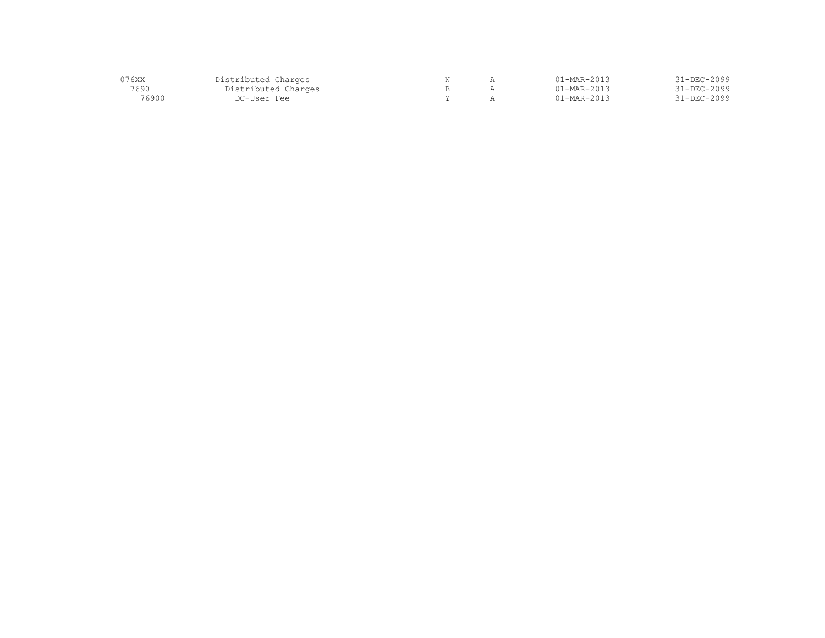| 076XX | Distributed Charges |  | $1 - \text{MAR} - 2013$  | $31 - DEC - 2099$ |
|-------|---------------------|--|--------------------------|-------------------|
| 7690  | Distributed Charges |  | $01 - \text{MAR} - 2013$ | 31-DEC-2099       |
| 76900 | DC-User Fee         |  | $01 - \text{MAR} - 2013$ | 31-DEC-2099       |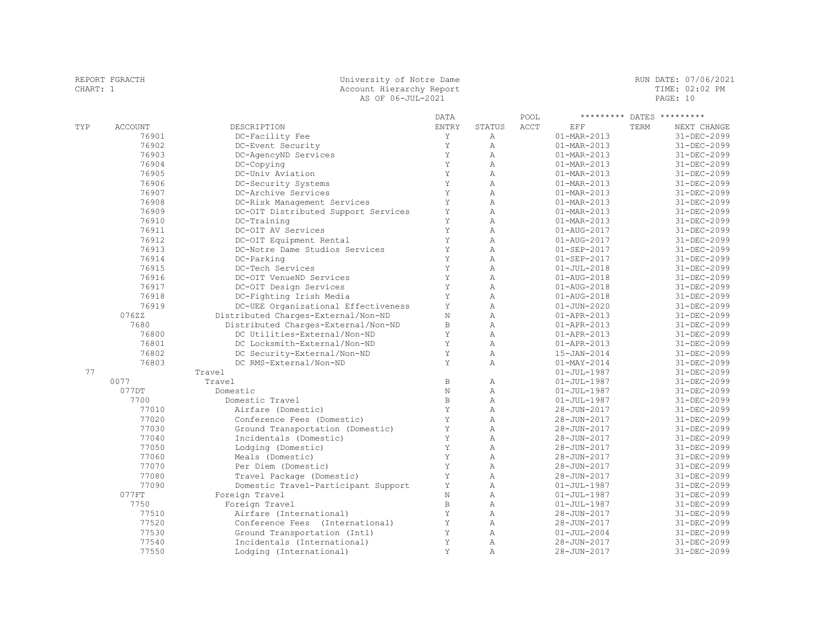| CHART: 1 | REPORT FGRACTH | University of Notre Dame<br>Account Hierarchy Report<br>AS OF 06-JUL-2021 |              |                |      |                          |      | RUN DATE: 07/06/2021<br>TIME: 02:02 PM<br>PAGE: 10 |
|----------|----------------|---------------------------------------------------------------------------|--------------|----------------|------|--------------------------|------|----------------------------------------------------|
|          |                |                                                                           | DATA         |                | POOL | *********                |      | DATES *********                                    |
| TYP      | <b>ACCOUNT</b> | DESCRIPTION                                                               | ENTRY        | STATUS         | ACCT | EFF                      | TERM | NEXT CHANGE                                        |
|          | 76901          | DC-Facility Fee                                                           | Y            | A              |      | $01 - \text{MAR} - 2013$ |      | 31-DEC-2099                                        |
|          | 76902          | DC-Event Security                                                         | Y            | A              |      | $01 - \text{MAR} - 2013$ |      | 31-DEC-2099                                        |
|          | 76903          | DC-AgencyND Services                                                      | Y            | $\mathbb{A}$   |      | 01-MAR-2013              |      | 31-DEC-2099                                        |
|          | 76904          | DC-Copying                                                                | Y            | $\mathbb{A}$   |      | 01-MAR-2013              |      | 31-DEC-2099                                        |
|          | 76905          | DC-Univ Aviation                                                          | Y            | $\lambda$      |      | 01-MAR-2013              |      | 31-DEC-2099                                        |
|          | 76906          | DC-Security Systems                                                       | Y            | A              |      | 01-MAR-2013              |      | 31-DEC-2099                                        |
|          | 76907          | DC-Archive Services                                                       | Y            | $\lambda$      |      | $01 - \text{MAR} - 2013$ |      | 31-DEC-2099                                        |
|          | 76908          | DC-Risk Management Services                                               | Y            | $\mathbb{A}$   |      | 01-MAR-2013              |      | 31-DEC-2099                                        |
|          | 76909          | DC-OIT Distributed Support Services                                       | Y            | $\lambda$      |      | 01-MAR-2013              |      | 31-DEC-2099                                        |
|          | 76910          | DC-Training                                                               | Y            | $\lambda$      |      | 01-MAR-2013              |      | 31-DEC-2099                                        |
|          | 76911          | DC-OIT AV Services                                                        | Y            | $\lambda$      |      | 01-AUG-2017              |      | 31-DEC-2099                                        |
|          | 76912          | DC-OIT Equipment Rental                                                   | Y            | $\overline{A}$ |      | 01-AUG-2017              |      | 31-DEC-2099                                        |
|          | 76913          | DC-Notre Dame Studios Services                                            | Y            | $\mathbb{A}$   |      | $01 - SEP - 2017$        |      | 31-DEC-2099                                        |
|          | 76914          | DC-Parking                                                                | Y            | A              |      | $01 - SEP - 2017$        |      | 31-DEC-2099                                        |
|          | 76915          | DC-Tech Services                                                          | Y            | $\lambda$      |      | $01 - JUL - 2018$        |      | 31-DEC-2099                                        |
|          | 76916          | DC-OIT VenueND Services                                                   | Y            | $\overline{A}$ |      | $01 - AUG - 2018$        |      | 31-DEC-2099                                        |
|          | 76917          | DC-OIT Design Services                                                    | Y            | A              |      | $01 - AUG - 2018$        |      | 31-DEC-2099                                        |
|          | 76918          | DC-Fighting Irish Media                                                   | Y            | A              |      | $01 - AUG - 2018$        |      | 31-DEC-2099                                        |
|          | 76919          | DC-UEE Organizational Effectiveness                                       | Y            | $\mathbb{A}$   |      | $01 - JUN - 2020$        |      | 31-DEC-2099                                        |
|          | 07622          | Distributed Charges-External/Non-ND                                       | N            | $\overline{A}$ |      | $01 - APR - 2013$        |      | 31-DEC-2099                                        |
|          | 7680           | Distributed Charges-External/Non-ND                                       | $\,$ B       | $\overline{A}$ |      | $01 - APR - 2013$        |      | 31-DEC-2099                                        |
|          | 76800          | DC Utilities-External/Non-ND                                              | Y            | $\overline{A}$ |      | $01 - APR - 2013$        |      | 31-DEC-2099                                        |
|          | 76801          | DC Locksmith-External/Non-ND                                              | Y            | $\mathbb{A}$   |      | $01 - APR - 2013$        |      | 31-DEC-2099                                        |
|          | 76802          | DC Security-External/Non-ND                                               | Y            | $\mathbb{A}$   |      | 15-JAN-2014              |      | 31-DEC-2099                                        |
|          | 76803          | DC RMS-External/Non-ND                                                    | Y            | A              |      | $01 - MAX - 2014$        |      | 31-DEC-2099                                        |
| 77       |                | Travel                                                                    |              |                |      | $01 - JUL - 1987$        |      | 31-DEC-2099                                        |
|          | 0077           | Travel                                                                    | $\,$ B       | $\mathbb{A}$   |      | $01 - JUL - 1987$        |      | 31-DEC-2099                                        |
|          | 077DT          | Domestic                                                                  | $\rm N$      | $\mathbb{A}$   |      | $01 - JUL - 1987$        |      | 31-DEC-2099                                        |
|          | 7700           | Domestic Travel                                                           | $\, {\bf B}$ | $\mathbb{A}$   |      | $01 - JUL - 1987$        |      | 31-DEC-2099                                        |
|          | 77010          | Airfare (Domestic)                                                        | Y            | $\mathbb{A}$   |      | 28-JUN-2017              |      | 31-DEC-2099                                        |
|          | 77020          | Conference Fees (Domestic)                                                | Y            | A              |      | 28-JUN-2017              |      | 31-DEC-2099                                        |
|          | 77030          | Ground Transportation (Domestic)                                          | Y            | $\lambda$      |      | 28-JUN-2017              |      | 31-DEC-2099                                        |
|          | 77040          | Incidentals (Domestic)                                                    | Y            | $\lambda$      |      | 28-JUN-2017              |      | 31-DEC-2099                                        |
|          | 77050          | Lodging (Domestic)                                                        | Y            | $\lambda$      |      | 28-JUN-2017              |      | 31-DEC-2099                                        |
|          | 77060          | Meals (Domestic)                                                          | Y            | $\mathbb{A}$   |      | 28-JUN-2017              |      | 31-DEC-2099                                        |
|          | 77070          | Per Diem (Domestic)                                                       | Y            | A              |      | 28-JUN-2017              |      | 31-DEC-2099                                        |
|          | 77080          | Travel Package (Domestic)                                                 | Y            | $\lambda$      |      | 28-JUN-2017              |      | 31-DEC-2099                                        |
|          | 77090          | Domestic Travel-Participant Support                                       | Υ            | A              |      | $01 - JUL - 1987$        |      | 31-DEC-2099                                        |
|          | 077FT          | Foreign Travel                                                            | $\mathbf N$  | $\lambda$      |      | $01 - JUL - 1987$        |      | 31-DEC-2099                                        |
|          | 7750           | Foreign Travel                                                            | $\,$ B       | A              |      | $01 - JUL - 1987$        |      | 31-DEC-2099                                        |
|          | 77510          | Airfare (International)                                                   | Y            | $\lambda$      |      | 28-JUN-2017              |      | 31-DEC-2099                                        |
|          | 77520          | Conference Fees (International)                                           | Y            | $\mathbb{A}$   |      | 28-JUN-2017              |      | 31-DEC-2099                                        |
|          | 77530          | Ground Transportation (Intl)                                              | Y            | $\mathbb{A}$   |      | $01 - JUL - 2004$        |      | 31-DEC-2099                                        |
|          | 77540          | Incidentals (International)                                               | Y            | $\mathbb{A}$   |      | 28-JUN-2017              |      | 31-DEC-2099                                        |
|          | 77550          | Lodging (International)                                                   | Y            | $\lambda$      |      | 28-JUN-2017              |      | 31-DEC-2099                                        |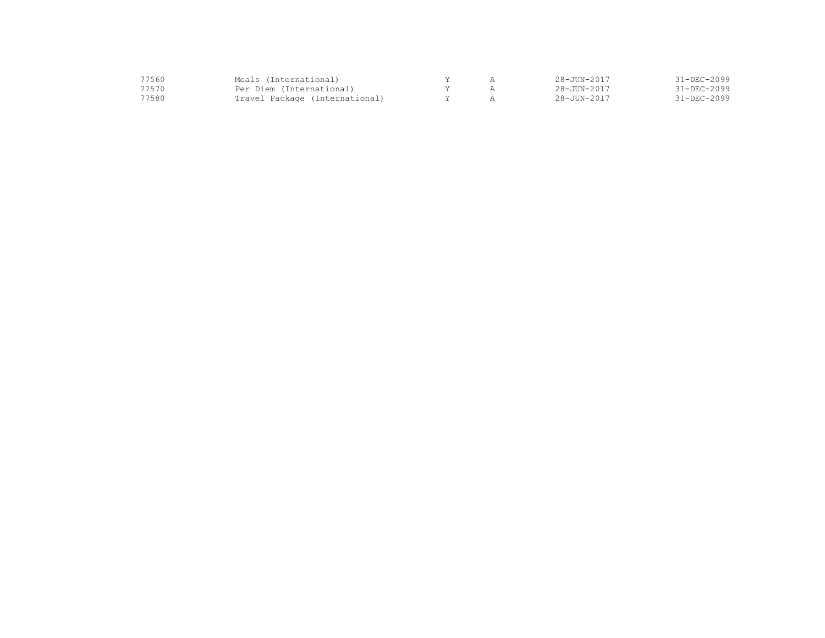| 77560 | Meals (International)          |  | $28 - JUN - 2017$ | $31 - DEC - 2099$ |
|-------|--------------------------------|--|-------------------|-------------------|
| 77570 | Per Diem (International)       |  | $28 - JUN - 2017$ | $31 - DEC - 2099$ |
| 77580 | Travel Package (International) |  | $28 - JUN - 2017$ | $31 - DEC - 2099$ |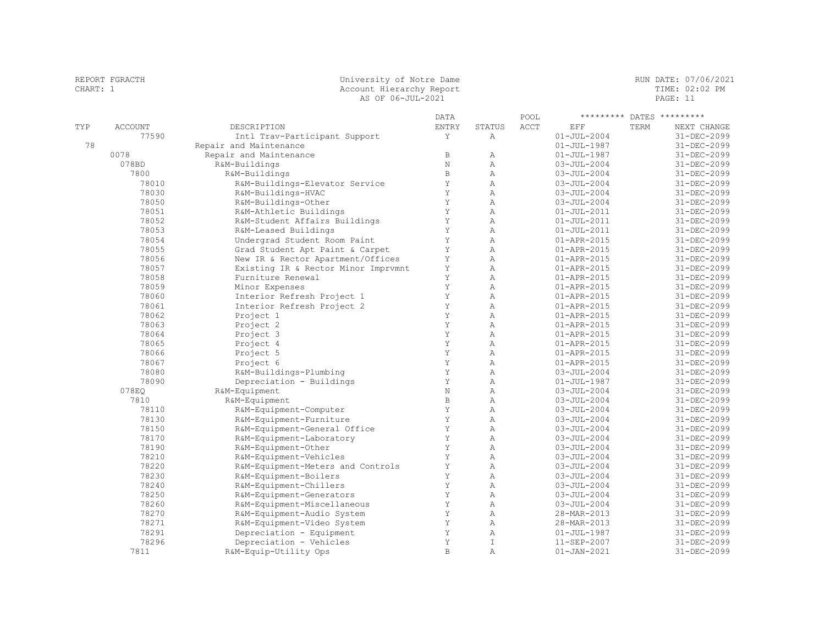|          | REPORT FGRACTH | University of Notre Dame          |             |        |      |                   |      | RUN DATE: 07/06/2021 |  |
|----------|----------------|-----------------------------------|-------------|--------|------|-------------------|------|----------------------|--|
| CHART: 1 |                | Account Hierarchy Report          |             |        |      |                   |      | TIME: 02:02 PM       |  |
|          |                | AS OF 06-JUL-2021                 |             |        |      |                   |      | PAGE: 11             |  |
|          |                |                                   | <b>DATA</b> |        | POOL | *********         |      | DATES *********      |  |
| TYP      | <b>ACCOUNT</b> | DESCRIPTION                       | ENTRY       | STATUS | ACCT | EFF               | TERM | NEXT CHANGE          |  |
|          | 77590          | Intl Trav-Participant Support     |             | Α      |      | $01 - JUL - 2004$ |      | 31-DEC-2099          |  |
| 78       |                | Repair and Maintenance            |             |        |      | $01 - JUL - 1987$ |      | $31 - DEC - 2099$    |  |
|          | 0078           | Repair and Maintenance            | В           | Α      |      | $01 - JUL - 1987$ |      | 31-DEC-2099          |  |
|          | 078BD          | R&M-Buildings                     | N           | Α      |      | $03 - JUL - 2004$ |      | $31 - DEC - 2099$    |  |
|          | 7800           | R&M-Buildings                     | B           | Α      |      | $03 - JUL - 2004$ |      | $31 - DEC - 2099$    |  |
|          | 78010          | R&M-Buildings-Elevator Service    |             | Α      |      | $03 - JUL - 2004$ |      | $31 - DEC - 2099$    |  |
|          | 78030          | R&M-Buildings-HVAC                | Y           | Α      |      | $03 - JUL - 2004$ |      | $31 - DEC - 2099$    |  |
|          | 78050          | R&M-Buildings-Other               | Y           | Α      |      | $03 - JUL - 2004$ |      | $31 - DEC - 2099$    |  |
|          | 78051          | R&M-Athletic Buildings            |             | Α      |      | $01 - JUL - 2011$ |      | $31 - DEC - 2099$    |  |
|          | 78052          | R&M-Student Affairs Buildings     | Y           | Α      |      | $01 - JUL - 2011$ |      | $31 - DEC - 2099$    |  |
|          | 78053          | R&M-Leased Buildings              |             | Α      |      | $01 - JUL - 2011$ |      | $31 - DEC - 2099$    |  |
|          | 78054          | Undergrad Student Room Paint      |             | Α      |      | $01 - APR - 2015$ |      | 31-DEC-2099          |  |
|          | 78055          | Grad Student Apt Paint & Carpet   | Y           | Α      |      | $01 - APR - 2015$ |      | 31-DEC-2099          |  |
|          | 78056          | New IR & Rector Apartment/Offices |             |        |      | $01 - APR - 2015$ |      | 31-DEC-2099          |  |

 78058 Furniture Renewal Y A 01-APR-2015 31-DEC-2099 78059 Minor Expenses Y A 01-APR-2015 31-DEC-2099

 78062 Project 1 Y A 01-APR-2015 31-DEC-2099 78063 Project 2 Y A 01-APR-2015 31-DEC-2099 78064 Project 3 Y A 01-APR-2015 31-DEC-2099 78065 Project 4 Y A 01-APR-2015 31-DEC-2099 78066 Project 5 Y A 01-APR-2015 31-DEC-2099 78067 Project 6 Y A 01-APR-2015 31-DEC-2099 78080 R&M-Buildings-Plumbing Y A 03-JUL-2004 31-DEC-2099

 078EQ R&M-Equipment N A 03-JUL-2004 31-DEC-2099 7810 R&M-Equipment B A 03-JUL-2004 31-DEC-2099

 78190 R&M-Equipment-Other Y A 03-JUL-2004 31-DEC-2099 78210 R&M-Equipment-Vehicles Y A 03-JUL-2004 31-DEC-2099 78220 R&M-Equipment-Meters and Controls Y A 03-JUL-2004 31-DEC-2099 78230 R&M-Equipment-Boilers Y A 03-JUL-2004 31-DEC-2099 78240 R&M-Equipment-Chillers Y A 03-JUL-2004 31-DEC-2099 78250 R&M-Equipment-Generators Y A 03-JUL-2004 31-DEC-2099

78291 Depreciation - Equipment Y A 01-JUL-1987 31-DEC-2099

R&M-Equip-Utility Ops

 78056 New IR & Rector Apartment/Offices Y A 01-APR-2015 31-DEC-2099 78057 Existing IR & Rector Minor Imprvmnt Y A 01-APR-2015 31-DEC-2099

19999 11 11 12 13060 Interior Refresh Project 1 1 12 13060<br>
78061 Interior Refresh Project 2 1 12 13061<br>
79062<br>
11-DEC-2099 12 20062<br>
21-DEC-2099 78061 Interior Refresh Project 2 Y A 01-APR-2015 31-DEC-2099

78090 Depreciation - Buildings Y A 01-JUL-1987 31-DEC-2099

78110 R&M-Equipment-Computer Y A 03-JUL-2004 31-DEC-2099

19130 R&M-Equipment-Furniture Manuscript (1913)<br>
78150 R&M-Equipment-General Office Y A 03-JUL-2004 31-DEC-2099<br>
78170 R&M-Equipment-Laboratory Y A 03-JUL-2004 31-DEC-2099<br>
78190 R&M-Equipment-Other Y A 03-JUL-2004 31-DEC- 78150 R&M-Equipment-General Office Y A 03-JUL-2004 31-DEC-2099 78170 R&M-Equipment-Laboratory Y A 03-JUL-2004 31-DEC-2099

 78260 R&M-Equipment-Miscellaneous Y A 03-JUL-2004 31-DEC-2099 78270 R&M-Equipment-Audio System Y A 28-MAR-2013 31-DEC-2099 78271 R&M-Equipment-Video System Y A 28-MAR-2013 31-DEC-2099

78296 Depreciation - Vehicles Y I 11-SEP-2007 31-DEC-2099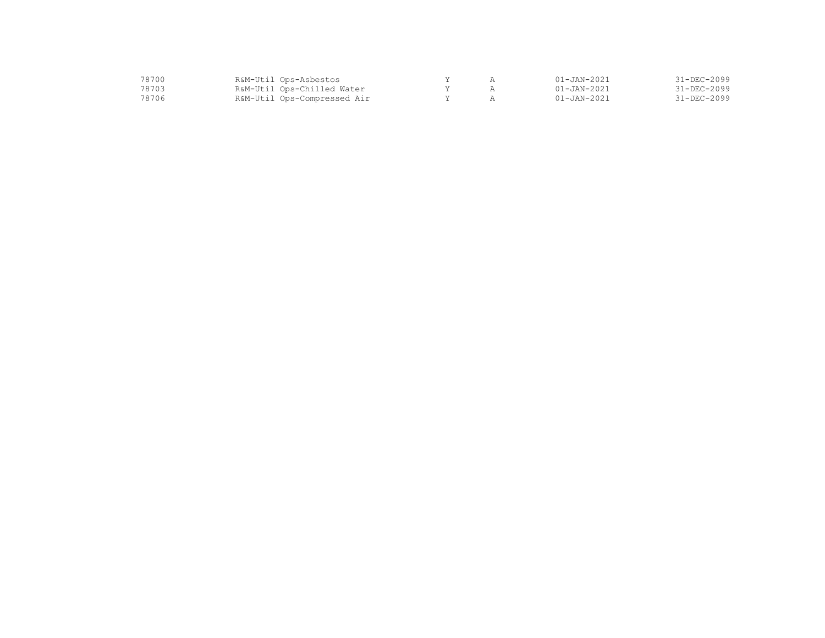| 78700. | R&M-Util Ops-Asbestos       |  | $01 - JAN - 2021$ | $31 - DEC - 2099$ |
|--------|-----------------------------|--|-------------------|-------------------|
| 78703  | R&M-Util Ops-Chilled Water  |  | $01 - JAN - 2021$ | $31 - DEC - 2099$ |
| 78706  | R&M-Util Ops-Compressed Air |  | $01 - JAN - 2021$ | $31 - DEC - 2099$ |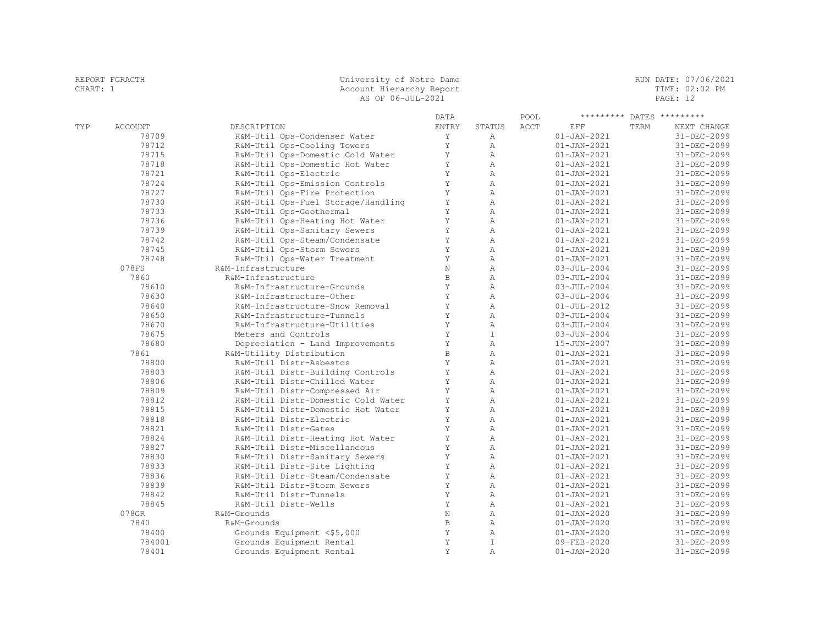| CHART: 1 | REPORT FGRACTH | University of Notre Dame<br>Account Hierarchy Report<br>AS OF 06-JUL-2021 |              |                                |      |                                        | RUN DATE: 07/06/2021<br>TIME: 02:02 PM<br>PAGE: 12 |                            |
|----------|----------------|---------------------------------------------------------------------------|--------------|--------------------------------|------|----------------------------------------|----------------------------------------------------|----------------------------|
|          |                |                                                                           | <b>DATA</b>  |                                | POOL |                                        |                                                    | ********* DATES *********  |
| TYP      | <b>ACCOUNT</b> | DESCRIPTION                                                               | <b>ENTRY</b> | <b>STATUS</b>                  | ACCT | EFF                                    | TERM                                               | NEXT CHANGE                |
|          | 78709          | R&M-Util Ops-Condenser Water                                              | Y            | $\mathbb{A}$                   |      | $01 - JAN - 2021$                      |                                                    | 31-DEC-2099                |
|          | 78712          | R&M-Util Ops-Cooling Towers                                               | Υ            | $\mathbb{A}$                   |      | $01 - JAN - 2021$                      |                                                    | 31-DEC-2099                |
|          | 78715          | R&M-Util Ops-Domestic Cold Water                                          | Y            | $\mathbb{A}$                   |      | $01 - JAN - 2021$                      |                                                    | 31-DEC-2099                |
|          | 78718          | R&M-Util Ops-Domestic Hot Water                                           | Y            | $\mathbb{A}$                   |      | $01 - JAN - 2021$                      |                                                    | 31-DEC-2099                |
|          | 78721          | R&M-Util Ops-Electric                                                     | Y            | $\mathbb{A}$                   |      | $01 - JAN - 2021$                      |                                                    | 31-DEC-2099                |
|          | 78724          | R&M-Util Ops-Emission Controls                                            | Y            | $\mathbb{A}$                   |      | $01 - JAN - 2021$                      |                                                    | 31-DEC-2099                |
|          | 78727          | R&M-Util Ops-Fire Protection                                              | Y            | A                              |      | $01 - JAN - 2021$                      |                                                    | 31-DEC-2099                |
|          | 78730          | R&M-Util Ops-Fuel Storage/Handling                                        | Y            | $\mathbb{A}$                   |      | $01 - JAN - 2021$                      |                                                    | 31-DEC-2099                |
|          | 78733          | R&M-Util Ops-Geothermal                                                   | Υ            | $\mathbb{A}$                   |      | $01 - JAN - 2021$                      |                                                    | 31-DEC-2099                |
|          | 78736          | R&M-Util Ops-Heating Hot Water                                            | Y            | $\mathbb{A}$                   |      | $01 - JAN - 2021$                      |                                                    | 31-DEC-2099                |
|          | 78739          | R&M-Util Ops-Sanitary Sewers                                              | Y            | $\mathbb{A}$                   |      | $01 - JAN - 2021$                      |                                                    | 31-DEC-2099                |
|          | 78742          | R&M-Util Ops-Steam/Condensate                                             | $\mathbf Y$  | $\mathbb{A}$                   |      | $01 - JAN - 2021$                      |                                                    | 31-DEC-2099                |
|          | 78745          | R&M-Util Ops-Storm Sewers                                                 | Y            | $\lambda$                      |      | $01 - JAN - 2021$                      |                                                    | 31-DEC-2099                |
|          | 78748          | R&M-Util Ops-Water Treatment                                              | Y            | $\mathbb{A}$                   |      | $01 - JAN - 2021$                      |                                                    | 31-DEC-2099                |
|          | 078FS          | R&M-Infrastructure                                                        | $\rm N$      | $\mathbb{A}$                   |      | $03 - JUL - 2004$                      |                                                    | 31-DEC-2099                |
|          | 7860           | R&M-Infrastructure                                                        | $\, {\bf B}$ | $\mathbb{A}$                   |      | $03 - JUL - 2004$                      |                                                    | 31-DEC-2099                |
|          | 78610          | R&M-Infrastructure-Grounds                                                | Y            | $\mathbb{A}$                   |      | $03 - JUL - 2004$                      |                                                    | 31-DEC-2099                |
|          | 78630          | R&M-Infrastructure-Other                                                  | Y            | $\mathbb{A}$                   |      | $03 - JUL - 2004$                      |                                                    | 31-DEC-2099                |
|          | 78640          | R&M-Infrastructure-Snow Removal                                           | Y            | $\lambda$                      |      | $01 - JUL - 2012$                      |                                                    | 31-DEC-2099                |
|          | 78650          | R&M-Infrastructure-Tunnels                                                | Y            | $\mathbb{A}$                   |      | $03 - JUL - 2004$                      |                                                    | 31-DEC-2099                |
|          | 78670          | R&M-Infrastructure-Utilities                                              | Y            | $\mathbb{A}$                   |      | $03 - JUL - 2004$                      |                                                    | 31-DEC-2099                |
|          | 78675          | Meters and Controls                                                       | Y            | $\mathsf{T}$<br>$\overline{A}$ |      | 03-JUN-2004                            |                                                    | 31-DEC-2099                |
|          | 78680          | Depreciation - Land Improvements                                          | Y<br>$\,$ B  |                                |      | 15-JUN-2007                            |                                                    | 31-DEC-2099                |
|          | 7861<br>78800  | R&M-Utility Distribution                                                  | Y            | $\mathbb{A}$<br>$\mathbb{A}$   |      | $01 - JAN - 2021$<br>$01 - JAN - 2021$ |                                                    | 31-DEC-2099<br>31-DEC-2099 |
|          | 78803          | R&M-Util Distr-Asbestos                                                   | Υ            | $\mathbb{A}$                   |      | $01 - JAN - 2021$                      |                                                    | 31-DEC-2099                |
|          | 78806          | R&M-Util Distr-Building Controls<br>R&M-Util Distr-Chilled Water          | Y            | $\mathbb{A}$                   |      |                                        |                                                    | 31-DEC-2099                |
|          | 78809          | R&M-Util Distr-Compressed Air                                             | Y            | $\mathbb{A}$                   |      | $01 - JAN - 2021$<br>$01 - JAN - 2021$ |                                                    | 31-DEC-2099                |
|          | 78812          | R&M-Util Distr-Domestic Cold Water                                        | Y            | A                              |      | $01 - JAN - 2021$                      |                                                    | 31-DEC-2099                |
|          | 78815          | R&M-Util Distr-Domestic Hot Water                                         | Y            | $\mathbb{A}$                   |      | $01 - JAN - 2021$                      |                                                    | 31-DEC-2099                |
|          | 78818          | R&M-Util Distr-Electric                                                   | Y            | A                              |      | $01 - JAN - 2021$                      |                                                    | 31-DEC-2099                |
|          | 78821          | R&M-Util Distr-Gates                                                      | Y            | $\mathbb{A}$                   |      | $01 - JAN - 2021$                      |                                                    | 31-DEC-2099                |
|          | 78824          | R&M-Util Distr-Heating Hot Water                                          | Y            | $\mathbb{A}$                   |      | $01 - JAN - 2021$                      |                                                    | 31-DEC-2099                |
|          | 78827          | R&M-Util Distr-Miscellaneous                                              | $\mathbf Y$  | $\lambda$                      |      | $01 - JAN - 2021$                      |                                                    | 31-DEC-2099                |
|          | 78830          | R&M-Util Distr-Sanitary Sewers                                            | Y            | $\mathbb{A}$                   |      | $01 - JAN - 2021$                      |                                                    | 31-DEC-2099                |
|          | 78833          | R&M-Util Distr-Site Lighting                                              | $\mathbf Y$  | $\mathbb{A}$                   |      | $01 - JAN - 2021$                      |                                                    | 31-DEC-2099                |
|          | 78836          | R&M-Util Distr-Steam/Condensate                                           | Y            | $\mathbb{A}$                   |      | $01 - JAN - 2021$                      |                                                    | 31-DEC-2099                |
|          | 78839          | R&M-Util Distr-Storm Sewers                                               | Y            | $\lambda$                      |      | $01 - JAN - 2021$                      |                                                    | 31-DEC-2099                |
|          | 78842          | R&M-Util Distr-Tunnels                                                    | Y            | $\mathbb{A}$                   |      | $01 - JAN - 2021$                      |                                                    | 31-DEC-2099                |
|          | 78845          | R&M-Util Distr-Wells                                                      | Y            | $\overline{A}$                 |      | $01 - JAN - 2021$                      |                                                    | 31-DEC-2099                |
|          | 078GR          | R&M-Grounds                                                               | $\rm N$      | $\mathbb{A}$                   |      | $01 - JAN - 2020$                      |                                                    | 31-DEC-2099                |
|          | 7840           | R&M-Grounds                                                               | $\,$ B       | $\mathbb{A}$                   |      | $01 - JAN - 2020$                      |                                                    | 31-DEC-2099                |
|          | 78400          | Grounds Equipment <\$5,000                                                | Y            | $\mathbb{A}$                   |      | $01 - JAN - 2020$                      |                                                    | 31-DEC-2099                |
|          | 784001         | Grounds Equipment Rental                                                  | Y            | T                              |      | 09-FEB-2020                            |                                                    | 31-DEC-2099                |
|          | 78401          | Grounds Equipment Rental                                                  | Y            | $\overline{A}$                 |      | $01 - JAN - 2020$                      |                                                    | 31-DEC-2099                |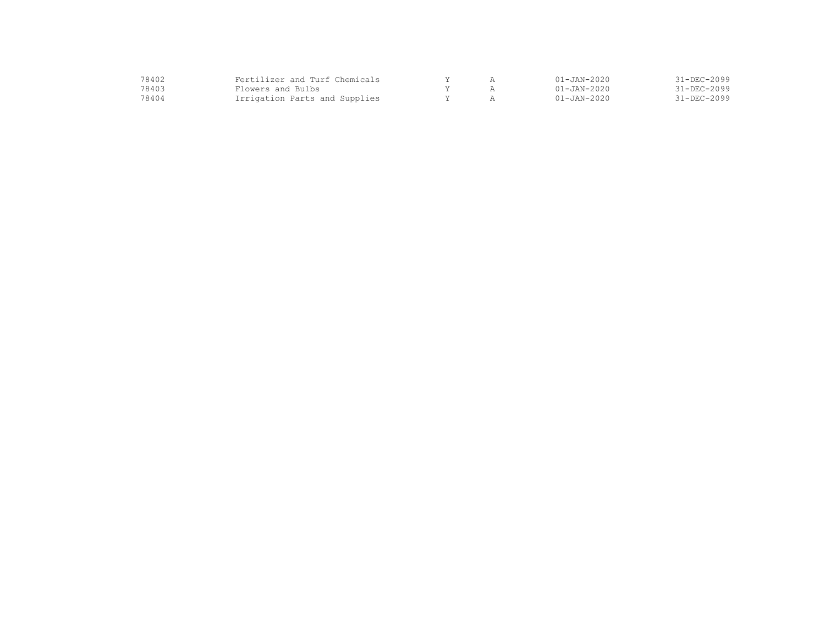| 78402 | Fertilizer and Turf Chemicals |  | $01 - JAN - 2020$ | $31 - DEC - 2099$ |
|-------|-------------------------------|--|-------------------|-------------------|
| 78403 | Flowers and Bulbs             |  | $01 - JAN - 2020$ | $31 - DEC - 2099$ |
| 78404 | Irrigation Parts and Supplies |  | $01 - JAN - 2020$ | $31 - DEC - 2099$ |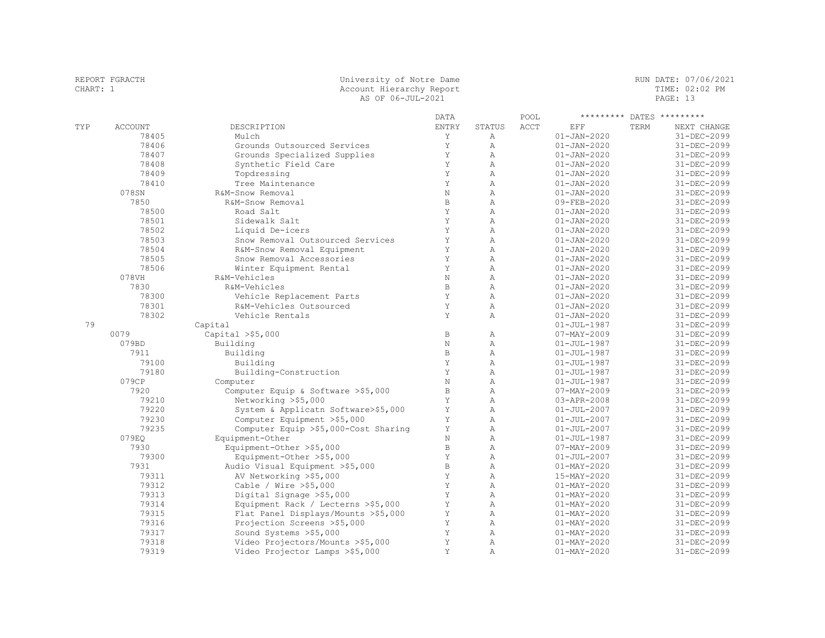| CHART: 1 | REPORT FGRACTH | University of Notre Dame<br>Account Hierarchy Report<br>AS OF 06-JUL-2021 |              |                                  |      |                                        |      | RUN DATE: 07/06/2021<br>TIME: 02:02 PM<br>PAGE: 13 |
|----------|----------------|---------------------------------------------------------------------------|--------------|----------------------------------|------|----------------------------------------|------|----------------------------------------------------|
|          |                |                                                                           | <b>DATA</b>  |                                  | POOL | ********* DATES *********              |      |                                                    |
| TYP      | <b>ACCOUNT</b> | DESCRIPTION                                                               | ENTRY        | <b>STATUS</b>                    | ACCT | EFF                                    | TERM | NEXT CHANGE                                        |
|          | 78405          | Mulch                                                                     | Y            | $\mathbb{A}$                     |      | $01 - JAN - 2020$                      |      | 31-DEC-2099                                        |
|          | 78406          | Grounds Outsourced Services                                               | Y            | $\mathbb{A}$                     |      | $01 - JAN - 2020$                      |      | $31 - DEC - 2099$                                  |
|          | 78407          | Grounds Specialized Supplies                                              | Y            | A                                |      | $01 - JAN - 2020$                      |      | 31-DEC-2099                                        |
|          | 78408          | Synthetic Field Care                                                      | Y            | A                                |      | $01 - JAN - 2020$                      |      | 31-DEC-2099                                        |
|          | 78409          | Topdressing                                                               | Y            | $\overline{A}$                   |      | $01 - JAN - 2020$                      |      | 31-DEC-2099                                        |
|          | 78410          | Tree Maintenance                                                          | Y            | $\mathbb{A}$                     |      | $01 - JAN - 2020$                      |      | 31-DEC-2099                                        |
|          | 078SN          | R&M-Snow Removal                                                          | $\rm N$      | $\overline{A}$                   |      | $01 - JAN - 2020$                      |      | 31-DEC-2099                                        |
|          | 7850           | R&M-Snow Removal                                                          | $\,$ B       | A                                |      | 09-FEB-2020                            |      | 31-DEC-2099                                        |
|          | 78500          | Road Salt                                                                 | Y            | $\mathbb{A}$                     |      | $01 - JAN - 2020$                      |      | 31-DEC-2099                                        |
|          | 78501          | Sidewalk Salt                                                             | Y            | $\overline{A}$                   |      | $01 - JAN - 2020$                      |      | 31-DEC-2099                                        |
|          | 78502          | Liquid De-icers                                                           | Y            | $\mathbb{A}$                     |      | $01 - JAN - 2020$                      |      | 31-DEC-2099                                        |
|          | 78503          | Snow Removal Outsourced Services                                          | $\rm Y$      | $\overline{A}$                   |      | $01 - JAN - 2020$                      |      | 31-DEC-2099                                        |
|          | 78504          | R&M-Snow Removal Equipment                                                | Y            | A                                |      | $01 - JAN - 2020$                      |      | 31-DEC-2099                                        |
|          | 78505          | Snow Removal Accessories                                                  | Y            | A                                |      | $01 - JAN - 2020$                      |      | 31-DEC-2099                                        |
|          | 78506          | Winter Equipment Rental                                                   | Y            | $\mathbb{A}$                     |      | $01 - JAN - 2020$                      |      | 31-DEC-2099                                        |
|          | 078VH          | R&M-Vehicles                                                              | $\rm N$      | $\mathbb{A}$                     |      | $01 - JAN - 2020$                      |      | 31-DEC-2099                                        |
|          | 7830           | R&M-Vehicles                                                              | $\mathbb B$  | $\overline{A}$                   |      | $01 - JAN - 2020$                      |      | 31-DEC-2099                                        |
|          | 78300          | Vehicle Replacement Parts                                                 | Y            | $\overline{A}$                   |      | $01 - JAN - 2020$                      |      | 31-DEC-2099                                        |
|          | 78301          | R&M-Vehicles Outsourced                                                   | Y            | $\mathbb{A}$                     |      | $01 - JAN - 2020$                      |      | 31-DEC-2099                                        |
|          | 78302          | Vehicle Rentals                                                           | Y            | $\mathbb{A}$                     |      | $01 - JAN - 2020$                      |      | 31-DEC-2099                                        |
| 79       |                | Capital                                                                   |              |                                  |      | $01 - JUL - 1987$                      |      | 31-DEC-2099                                        |
|          | 0079           | Capital $>$ \$5,000                                                       | $\, {\bf B}$ | Α                                |      | $07 - MAX - 2009$                      |      | 31-DEC-2099                                        |
|          | 079BD          | Building                                                                  | $\rm N$      | $\overline{A}$                   |      | $01 - JUL - 1987$                      |      | 31-DEC-2099                                        |
|          | 7911           | Building                                                                  | $\mathbb B$  | $\overline{A}$                   |      | $01 - JUL - 1987$                      |      | 31-DEC-2099                                        |
|          | 79100          | Building                                                                  | Y            | $\overline{A}$                   |      | $01 - JUL - 1987$                      |      | 31-DEC-2099                                        |
|          | 79180          | Building-Construction                                                     | Y            | Α                                |      | $01 - JUL - 1987$                      |      | 31-DEC-2099                                        |
|          | 079CP          | Computer                                                                  | $\rm N$      | $\mathbb{A}$                     |      | $01 - JUL - 1987$                      |      | 31-DEC-2099                                        |
|          | 7920           | Computer Equip & Software >\$5,000                                        | $\, {\bf B}$ | A                                |      | $07 - MAX - 2009$                      |      | 31-DEC-2099                                        |
|          | 79210          | Networking >\$5,000                                                       | Y            | A                                |      | 03-APR-2008                            |      | 31-DEC-2099                                        |
|          | 79220          | System & Applicatn Software>\$5,000                                       | Y            | $\mathbb{A}$                     |      | $01 - JUL - 2007$                      |      | 31-DEC-2099                                        |
|          | 79230          | Computer Equipment >\$5,000                                               | Y<br>Y       | $\mathbb{A}$<br>$\overline{A}$   |      | $01 - JUL - 2007$                      |      | 31-DEC-2099                                        |
|          | 79235          | Computer Equip >\$5,000-Cost Sharing                                      |              |                                  |      | $01 - JUL - 2007$                      |      | 31-DEC-2099                                        |
|          | 079EO<br>7930  | Equipment-Other                                                           | N<br>B.      | $\overline{A}$<br>$\overline{A}$ |      | $01 - JUL - 1987$                      |      | 31-DEC-2099                                        |
|          | 79300          | Equipment-Other >\$5,000                                                  | Y            | $\overline{A}$                   |      | $07 - MAX - 2009$<br>$01 - JUL - 2007$ |      | 31-DEC-2099<br>31-DEC-2099                         |
|          | 7931           | Equipment-Other >\$5,000                                                  | $\mathbf B$  | $\mathbb{A}$                     |      |                                        |      |                                                    |
|          | 79311          | Audio Visual Equipment >\$5,000                                           | Y            | $\overline{A}$                   |      | $01 - MAX - 2020$<br>15-MAY-2020       |      | 31-DEC-2099<br>31-DEC-2099                         |
|          | 79312          | AV Networking >\$5,000<br>Cable / Wire $>$ \$5,000                        | Y            | A                                |      | $01 - MAX - 2020$                      |      | 31-DEC-2099                                        |
|          | 79313          | Digital Signage >\$5,000                                                  | Y            | A                                |      | $01 - MAX - 2020$                      |      | 31-DEC-2099                                        |
|          | 79314          | Equipment Rack / Lecterns >\$5,000                                        | Y            | Α                                |      | $01 - MAX - 2020$                      |      | 31-DEC-2099                                        |
|          | 79315          |                                                                           | Y            | $\mathbb{A}$                     |      | $01 - MAY - 2020$                      |      |                                                    |
|          | 79316          | Flat Panel Displays/Mounts >\$5,000<br>Projection Screens >\$5,000        | Y            | Α                                |      | $01 - MAX - 2020$                      |      | 31-DEC-2099<br>31-DEC-2099                         |
|          | 79317          | Sound Systems >\$5,000                                                    | Y            | $\overline{A}$                   |      | $01 - MAY - 2020$                      |      | 31-DEC-2099                                        |
|          | 79318          | Video Projectors/Mounts >\$5,000                                          | Y            | $\mathbb{A}$                     |      | $01 - \text{MAX} - 2020$               |      | 31-DEC-2099                                        |
|          | 79319          | Video Projector Lamps >\$5,000                                            | Y            | $\mathbb{A}$                     |      | $01 - MAX - 2020$                      |      | 31-DEC-2099                                        |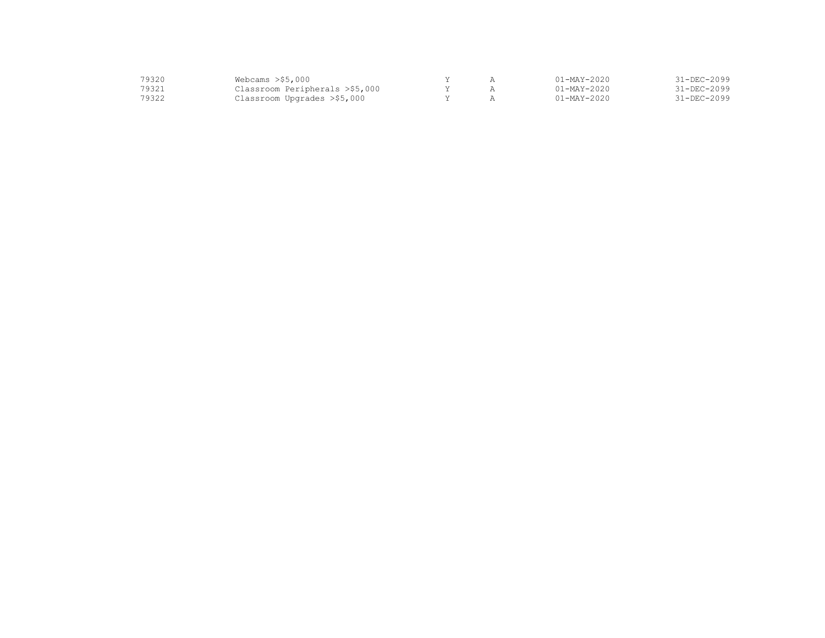| 19320 | Webcams $>$ \$5,000            |  | $01 - \text{MAX} - 2020$ | 31-DEC-2099       |
|-------|--------------------------------|--|--------------------------|-------------------|
| 79321 | Classroom Peripherals >\$5,000 |  | 01-MAY-2020              | $31 - DEC - 2099$ |
| 79322 | Classroom Upgrades >\$5,000    |  | $01 - \text{MAX} - 2020$ | 31-DEC-2099       |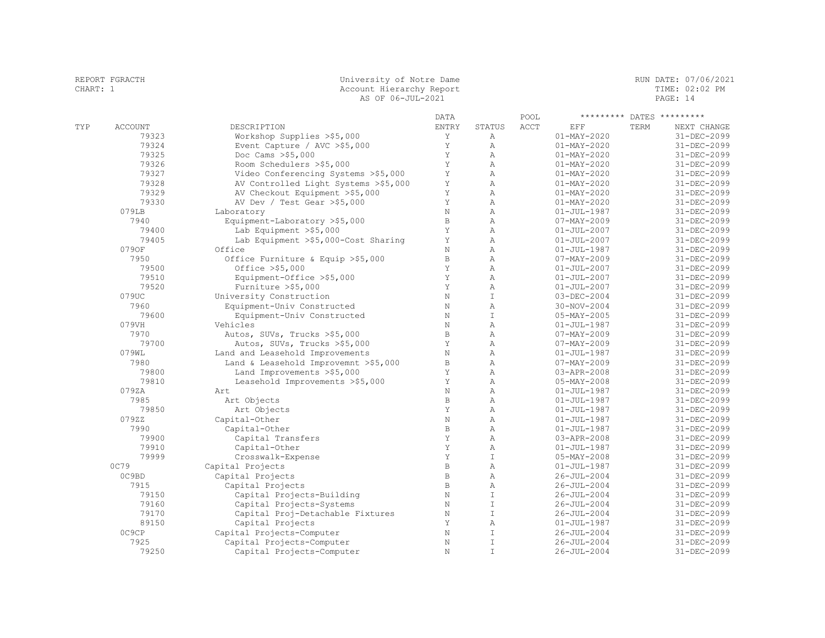| REPORT FGRACTH |                | University of Notre Dame             |              |               |      |                   | RUN DATE: 07/06/2021 |  |
|----------------|----------------|--------------------------------------|--------------|---------------|------|-------------------|----------------------|--|
| CHART: 1       |                | Account Hierarchy Report             |              |               |      |                   | TIME: 02:02 PM       |  |
|                |                | AS OF 06-JUL-2021                    |              |               |      |                   | PAGE: 14             |  |
|                |                |                                      | DATA         |               | POOL | *********         | DATES *********      |  |
| TYP            | <b>ACCOUNT</b> | DESCRIPTION                          | ENTRY        | STATUS        | ACCT | EFF               | TERM<br>NEXT CHANGE  |  |
|                | 79323          | Workshop Supplies >\$5,000           | Y            | Α             |      | $01 - MAX - 2020$ | 31-DEC-2099          |  |
|                | 79324          | Event Capture / AVC $>$ \$5,000      | Y            | Α             |      | $01 - MAX - 2020$ | 31-DEC-2099          |  |
|                | 79325          | Doc Cams >\$5,000                    | Y            | A             |      | $01 - MAX - 2020$ | 31-DEC-2099          |  |
|                | 79326          | Room Schedulers >\$5,000             | Y            | A             |      | $01 - MAX - 2020$ | 31-DEC-2099          |  |
|                | 79327          | Video Conferencing Systems >\$5,000  | Y            | A             |      | $01 - MAX - 2020$ | 31-DEC-2099          |  |
|                | 79328          | AV Controlled Light Systems >\$5,000 | Υ            | A             |      | $01 - MAX - 2020$ | 31-DEC-2099          |  |
|                | 79329          | AV Checkout Equipment >\$5,000       | Y            | Α             |      | $01 - MAX - 2020$ | 31-DEC-2099          |  |
|                | 79330          | AV Dev / Test Gear >\$5,000          | Y            | A             |      | $01 - MAY - 2020$ | 31-DEC-2099          |  |
|                | 079LB          | Laboratory                           | $\mathbf N$  | A             |      | $01 - JUL - 1987$ | 31-DEC-2099          |  |
|                | 7940           | Equipment-Laboratory >\$5,000        | $\, {\bf B}$ | A             |      | $07 - MAY - 2009$ | 31-DEC-2099          |  |
|                | 79400          | Lab Equipment $>$ \$5,000            | Y            | A             |      | $01 - JUL - 2007$ | 31-DEC-2099          |  |
|                | 79405          | Lab Equipment >\$5,000-Cost Sharing  | Y            | A             |      | $01 - JUL - 2007$ | 31-DEC-2099          |  |
|                | 0790F          | Office                               | N            | A             |      | $01 - JUL - 1987$ | 31-DEC-2099          |  |
|                | 7950           |                                      | B            | A             |      | 07-MAY-2009       | 31-DEC-2099          |  |
|                |                | Office Furniture & Equip >\$5,000    | Y            | A             |      |                   |                      |  |
|                | 79500          | Office $>$ \$5,000                   |              |               |      | $01 - JUL - 2007$ | 31-DEC-2099          |  |
|                | 79510          | Equipment-Office >\$5,000            | Y            | $\mathbb{A}$  |      | $01 - JUL - 2007$ | 31-DEC-2099          |  |
|                | 79520          | Furniture >\$5,000                   | Y            | A             |      | $01 - JUL - 2007$ | 31-DEC-2099          |  |
|                | 079UC          | University Construction              | N            | $\top$        |      | $03 - DEC - 2004$ | 31-DEC-2099          |  |
|                | 7960           | Equipment-Univ Constructed           | $\rm N$      | A             |      | 30-NOV-2004       | 31-DEC-2099          |  |
|                | 79600          | Equipment-Univ Constructed           | $\rm N$      | $\mathbf I$   |      | $05 - MAX - 2005$ | 31-DEC-2099          |  |
|                | 079VH          | Vehicles                             | $\rm N$      | A             |      | $01 - JUL - 1987$ | 31-DEC-2099          |  |
|                | 7970           | Autos, SUVs, Trucks >\$5,000         | $\mathbf B$  | A             |      | $07 - MAX - 2009$ | 31-DEC-2099          |  |
|                | 79700          | Autos, SUVs, Trucks >\$5,000         | Y            | A             |      | $07 - MAX - 2009$ | 31-DEC-2099          |  |
|                | 079WL          | Land and Leasehold Improvements      | $\rm N$      | $\mathbb{A}$  |      | $01 - JUL - 1987$ | 31-DEC-2099          |  |
|                | 7980           | Land & Leasehold Improvemnt >\$5,000 | В            | Α             |      | $07 - MAX - 2009$ | 31-DEC-2099          |  |
|                | 79800          | Land Improvements >\$5,000           | Υ            | $\mathbb{A}$  |      | 03-APR-2008       | 31-DEC-2099          |  |
|                | 79810          | Leasehold Improvements >\$5,000      | Y            | $\mathbb{A}$  |      | $05 - MAX - 2008$ | 31-DEC-2099          |  |
|                | 079ZA          | Art                                  | $\mathbf N$  | A             |      | $01 - JUL - 1987$ | 31-DEC-2099          |  |
|                | 7985           | Art Objects                          | $\mathbf B$  | A             |      | $01 - JUL - 1987$ | 31-DEC-2099          |  |
|                | 79850          | Art Objects                          | Y            | A             |      | $01 - JUL - 1987$ | 31-DEC-2099          |  |
|                | 079ZZ          | Capital-Other                        | N            | A             |      | $01 - JUL - 1987$ | 31-DEC-2099          |  |
|                | 7990           | Capital-Other                        | $\, {\bf B}$ | A             |      | $01 - JUL - 1987$ | 31-DEC-2099          |  |
|                | 79900          | Capital Transfers                    | Y            | A             |      | 03-APR-2008       | 31-DEC-2099          |  |
|                | 79910          | Capital-Other                        | Y            | A             |      | $01 - JUL - 1987$ | 31-DEC-2099          |  |
|                | 79999          | Crosswalk-Expense                    | Y            | $\top$        |      | 05-MAY-2008       | 31-DEC-2099          |  |
|                | 0C79           | Capital Projects                     | $\, {\bf B}$ | $\mathbb{A}$  |      | $01 - JUL - 1987$ | 31-DEC-2099          |  |
|                | OC9BD          | Capital Projects                     | $\, {\bf B}$ | $\mathbb{A}$  |      | $26 - JUL - 2004$ | 31-DEC-2099          |  |
|                | 7915           | Capital Projects                     | $\mathbb B$  | A             |      | $26 - JUL - 2004$ | 31-DEC-2099          |  |
|                | 79150          | Capital Projects-Building            | $\rm N$      | $\mathbbm{I}$ |      | $26 - JUL - 2004$ | 31-DEC-2099          |  |
|                | 79160          | Capital Projects-Systems             | $\rm N$      | $\mathbf I$   |      | 26-JUL-2004       | 31-DEC-2099          |  |
|                | 79170          | Capital Proj-Detachable Fixtures     | $\rm N$      | $\mathbbm{I}$ |      | 26-JUL-2004       | 31-DEC-2099          |  |
|                | 89150          | Capital Projects                     | Y            | A             |      | $01 - JUL - 1987$ | 31-DEC-2099          |  |
|                | OC9CP          | Capital Projects-Computer            | N            | $\mathbf I$   |      | $26 - JUL - 2004$ | 31-DEC-2099          |  |
|                | 7925           | Capital Projects-Computer            | $\rm N$      | $\mathbbm{I}$ |      | $26 - JUL - 2004$ | 31-DEC-2099          |  |
|                | 79250          | Capital Projects-Computer            | N            | $\top$        |      | 26-JUL-2004       | 31-DEC-2099          |  |
|                |                |                                      |              |               |      |                   |                      |  |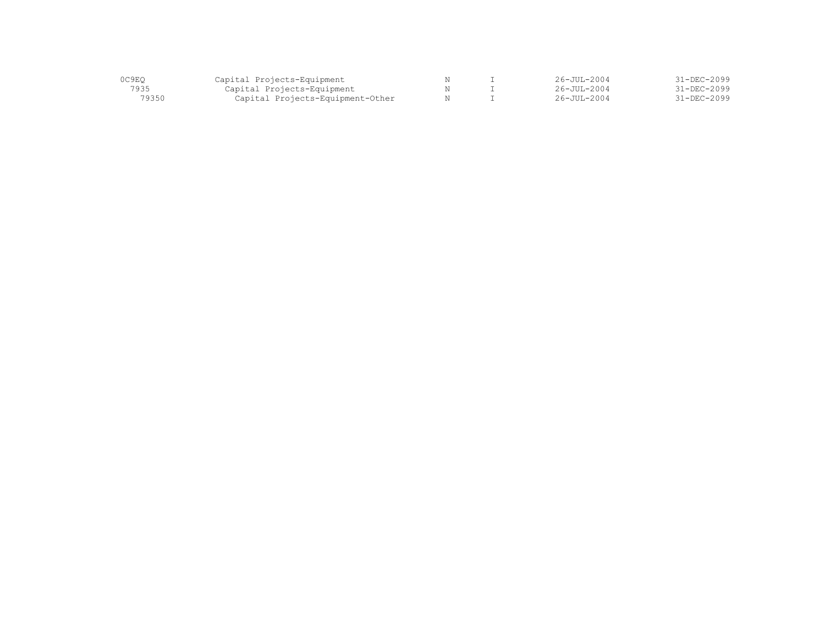| 0C9EO | Capital Projects-Equipment       |  | $26 - JUI - 2004$  | $31 - DEC - 2099$ |
|-------|----------------------------------|--|--------------------|-------------------|
| 7935  | Capital Projects-Equipment       |  | $26 - JUII - 2004$ | 31-DEC-2099       |
| 79350 | Capital Projects-Equipment-Other |  | $26 - JUII - 2004$ | 31-DEC-2099       |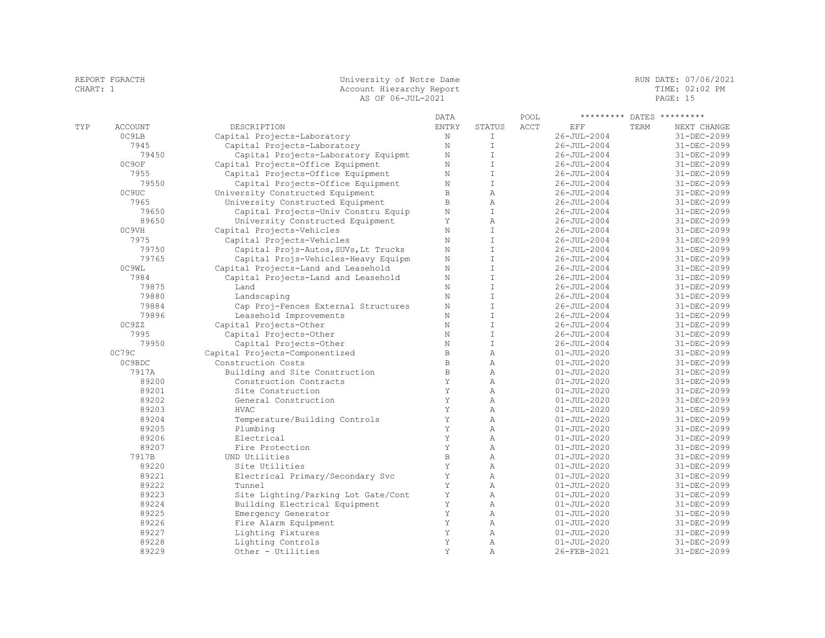|     |                | AS OF 06-JUL-2021                    |              |                |      |                   |      | PAGE: 15                  |  |
|-----|----------------|--------------------------------------|--------------|----------------|------|-------------------|------|---------------------------|--|
|     |                |                                      | DATA         |                | POOL |                   |      | ********* DATES ********* |  |
| TYP | <b>ACCOUNT</b> | DESCRIPTION                          | <b>ENTRY</b> | STATUS         | ACCT | EFF               | TERM | NEXT CHANGE               |  |
|     | OC9LB          | Capital Projects-Laboratory          | $\rm N$      | $\mathbb{I}$   |      | $26 - JUL - 2004$ |      | 31-DEC-2099               |  |
|     | 7945           | Capital Projects-Laboratory          | $\mathbf N$  | $\mathbb{I}$   |      | $26 - JUL - 2004$ |      | $31 - DEC - 2099$         |  |
|     | 79450          | Capital Projects-Laboratory Equipmt  | $\mathbf N$  | $\mathbf I$    |      | $26 - JUL - 2004$ |      | 31-DEC-2099               |  |
|     | 0C9OF          | Capital Projects-Office Equipment    | $\mathbf N$  | $\mathbbm{I}$  |      | $26 - JUL - 2004$ |      | 31-DEC-2099               |  |
|     | 7955           | Capital Projects-Office Equipment    | $\rm N$      | $\mathbb{I}$   |      | $26 - JUL - 2004$ |      | 31-DEC-2099               |  |
|     | 79550          | Capital Projects-Office Equipment    | $\mathbf N$  | T              |      | $26 - JUL - 2004$ |      | 31-DEC-2099               |  |
|     | 0C9UC          | University Constructed Equipment     | $\mathbb B$  | $\mathbb{A}$   |      | $26 - JUL - 2004$ |      | 31-DEC-2099               |  |
|     | 7965           | University Constructed Equipment     | $\, {\bf B}$ | $\mathbb{A}$   |      | $26 - JUL - 2004$ |      | 31-DEC-2099               |  |
|     | 79650          | Capital Projects-Univ Constru Equip  | $\rm N$      | T              |      | $26 - JUL - 2004$ |      | 31-DEC-2099               |  |
|     | 89650          | University Constructed Equipment     | Y            | $\mathbb{A}$   |      | $26 - JUL - 2004$ |      | $31 - DEC - 2099$         |  |
|     | 0C9VH          | Capital Projects-Vehicles            | $\rm N$      | $\mathbf I$    |      | $26 - JUL - 2004$ |      | $31 - DEC - 2099$         |  |
|     | 7975           | Capital Projects-Vehicles            | $\mathbf N$  | $\mathsf{T}$   |      | $26 - JUL - 2004$ |      | $31 - DEC - 2099$         |  |
|     | 79750          | Capital Projs-Autos, SUVs, Lt Trucks | $\mathbf N$  | $\top$         |      | $26 - JUL - 2004$ |      | 31-DEC-2099               |  |
|     | 79765          | Capital Projs-Vehicles-Heavy Equipm  | $\mathbf N$  | $\mathbbm{I}$  |      | $26 - JUL - 2004$ |      | 31-DEC-2099               |  |
|     | OC9WL          | Capital Projects-Land and Leasehold  | $\mathbf N$  | $\mathbbm{I}$  |      | $26 - JUL - 2004$ |      | 31-DEC-2099               |  |
|     | 7984           | Capital Projects-Land and Leasehold  | $\mathbf N$  | $\mathbbm{I}$  |      | $26 - JUL - 2004$ |      | 31-DEC-2099               |  |
|     | 79875          | Land                                 | N            | $\top$         |      | $26 - JUL - 2004$ |      | 31-DEC-2099               |  |
|     | 79880          | Landscaping                          | $\mathbf N$  | $\top$         |      | $26 - JUL - 2004$ |      | 31-DEC-2099               |  |
|     | 79884          | Cap Proj-Fences External Structures  | $\rm N$      | $\mathbbm{I}$  |      | $26 - JUL - 2004$ |      | 31-DEC-2099               |  |
|     | 79896          | Leasehold Improvements               | $\mathbf N$  | $\mathbb T$    |      | $26 - JUL - 2004$ |      | 31-DEC-2099               |  |
|     | OC9ZZ          | Capital Projects-Other               | $\mathbf N$  | $\top$         |      | $26 - JUL - 2004$ |      | 31-DEC-2099               |  |
|     | 7995           | Capital Projects-Other               | $\rm N$      | $\mathbbm{I}$  |      | $26 - JUL - 2004$ |      | 31-DEC-2099               |  |
|     | 79950          | Capital Projects-Other               | $\mathbf N$  | $\mathbbm{I}$  |      | $26 - JUL - 2004$ |      | 31-DEC-2099               |  |
|     | 0C79C          | Capital Projects-Componentized       | $\, {\bf B}$ | $\overline{A}$ |      | $01 - JUL - 2020$ |      | 31-DEC-2099               |  |
|     | OC9BDC         | Construction Costs                   | $\,$ B       | A              |      | $01 - JUL - 2020$ |      | 31-DEC-2099               |  |
|     | 7917A          | Building and Site Construction       | $\mathbb B$  | $\mathcal{A}$  |      | $01 - JUL - 2020$ |      | 31-DEC-2099               |  |
|     | 89200          | Construction Contracts               | Y            | A              |      | $01 - JUL - 2020$ |      | 31-DEC-2099               |  |
|     | 89201          | Site Construction                    | Y            | Α              |      | $01 - JUL - 2020$ |      | 31-DEC-2099               |  |
|     | 89202          | General Construction                 | Y            | $\mathbb{A}$   |      | $01 - JUL - 2020$ |      | 31-DEC-2099               |  |
|     | 89203          | <b>HVAC</b>                          | Υ            | $\mathbb{A}$   |      | $01 - JUL - 2020$ |      | 31-DEC-2099               |  |
|     | 89204          | Temperature/Building Controls        | Y            | Α              |      | $01 - JUL - 2020$ |      | $31 - DEC - 2099$         |  |
|     | 89205          | Plumbing                             | Y            | A              |      | $01 - JUL - 2020$ |      | 31-DEC-2099               |  |
|     | 89206          | Electrical                           | Y            | Α              |      | $01 - JUL - 2020$ |      | 31-DEC-2099               |  |
|     | 89207          | Fire Protection                      | Y            | Α              |      | $01 - JUL - 2020$ |      | 31-DEC-2099               |  |
|     | 7917B          | UND Utilities                        | $\mathbb B$  | A              |      | $01 - JUL - 2020$ |      | 31-DEC-2099               |  |
|     | 89220          | Site Utilities                       | Y            | Α              |      | $01 - JUL - 2020$ |      | 31-DEC-2099               |  |
|     | 89221          | Electrical Primary/Secondary Svc     | Y            | A              |      | $01 - JUL - 2020$ |      | 31-DEC-2099               |  |

 89222 Tunnel Y A 01-JUL-2020 31-DEC-2099 89223 Site Lighting/Parking Lot Gate/Cont Y A 01-JUL-2020 31-DEC-2099 89224 Building Electrical Equipment Y A 01-JUL-2020 31-DEC-2099 89225 Emergency Generator Y A 01-JUL-2020 31-DEC-2099 89226 Fire Alarm Equipment Y A 01-JUL-2020 31-DEC-2099

89229 Other - Utilities Y A 26-FEB-2021 31-DEC-2099

 89227 Lighting Fixtures Y A 01-JUL-2020 31-DEC-2099 89228 Lighting Controls Y A 01-JUL-2020 31-DEC-2099

REPORT FGRACTH CHART SUNDER SERVICE OF MOTOR UNIVERSITY OF NOTE OF MOTOR SERVICE OF THE MUNICIPAL CHART: 1 ACCOUNT HERE RUNDER OF MUNICIPAL CHART SUNDER OF MUSIC OF PM. Account Hierarchy Report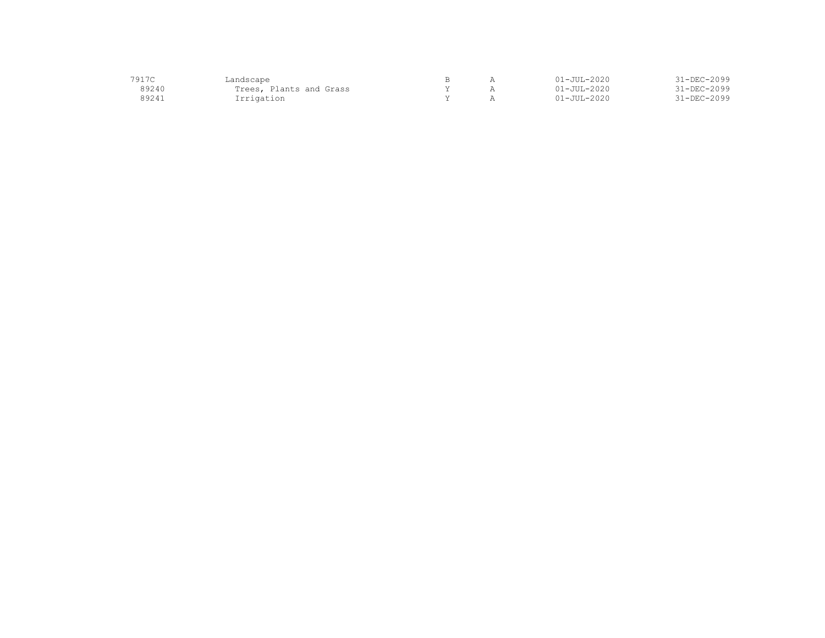| 7917C | ⊿andscape               |  | 1-JUL-2020        | 31-DEC-2099       |
|-------|-------------------------|--|-------------------|-------------------|
| 89240 | Trees, Plants and Grass |  | $01 - JUI - 2020$ | $31 - DEC - 2099$ |
| 89241 | Irrigation              |  | 1-JUL-2020        | $31 - DEC - 2099$ |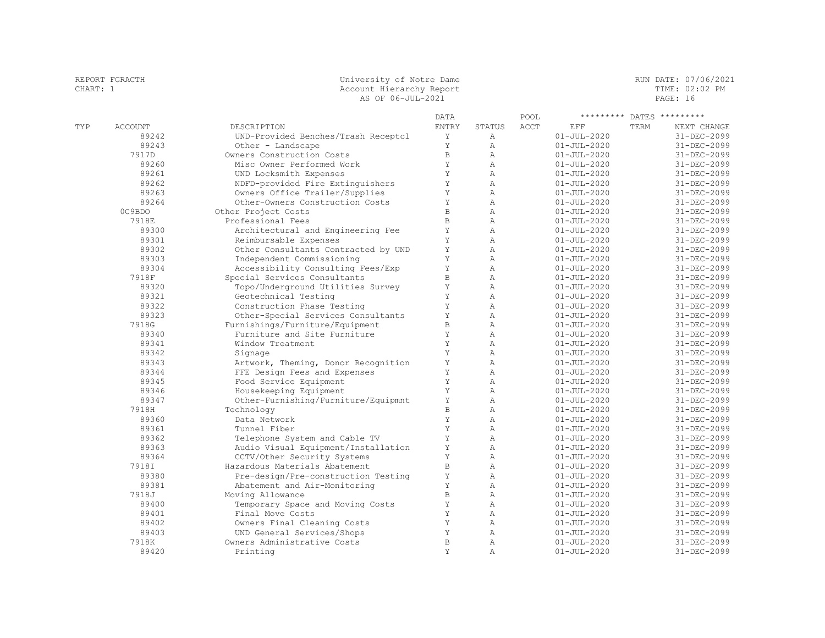| CHART: 1 |                | Account Hierarchy Report<br>AS OF 06-JUL-2021      |              |                                |      |                                        |             | TIME: 02:02 PM<br>PAGE: 16 |  |  |
|----------|----------------|----------------------------------------------------|--------------|--------------------------------|------|----------------------------------------|-------------|----------------------------|--|--|
|          |                |                                                    | DATA         |                                | POOL |                                        |             | ********* DATES *********  |  |  |
| TYP      | <b>ACCOUNT</b> | DESCRIPTION                                        | <b>ENTRY</b> | <b>STATUS</b>                  | ACCT | EFF                                    | <b>TERM</b> | NEXT CHANGE                |  |  |
|          | 89242          | UND-Provided Benches/Trash Receptcl                | Υ            | Α                              |      | $01 - JUL - 2020$                      |             | 31-DEC-2099                |  |  |
|          | 89243          | Other - Landscape                                  | Y            | Α                              |      | $01 - JUL - 2020$                      |             | 31-DEC-2099                |  |  |
|          | 7917D          | Owners Construction Costs                          | B            | Α                              |      | $01 - JUL - 2020$                      |             | 31-DEC-2099                |  |  |
|          | 89260          | Misc Owner Performed Work                          | Y            | $\overline{A}$                 |      | $01 - JUL - 2020$                      |             | 31-DEC-2099                |  |  |
|          | 89261          | UND Locksmith Expenses                             | Y            | $\overline{A}$                 |      | $01 - JUL - 2020$                      |             | 31-DEC-2099                |  |  |
|          | 89262          | NDFD-provided Fire Extinguishers                   | Υ            | Α                              |      | $01 - JUL - 2020$                      |             | 31-DEC-2099                |  |  |
|          | 89263          | Owners Office Trailer/Supplies                     | Υ            | Α                              |      | $01 - JUL - 2020$                      |             | 31-DEC-2099                |  |  |
|          | 89264          | Other-Owners Construction Costs                    | Υ            | Α                              |      | $01 - JUL - 2020$                      |             | 31-DEC-2099                |  |  |
|          | OC9BDO         | Other Project Costs                                | $\,$ B       | Α                              |      | $01 - JUL - 2020$                      |             | 31-DEC-2099                |  |  |
|          | 7918E          | Professional Fees                                  | $\,$ B       | $\overline{A}$                 |      | $01 - JUL - 2020$                      |             | 31-DEC-2099                |  |  |
|          | 89300          | Architectural and Engineering Fee                  | Y            | $\mathbb{A}$                   |      | $01 - JUL - 2020$                      |             | 31-DEC-2099                |  |  |
|          | 89301          | Reimbursable Expenses                              | Y            | Α                              |      | $01 - JUL - 2020$                      |             | 31-DEC-2099                |  |  |
|          | 89302          | Other Consultants Contracted by UND                | Y            | $\mathbb{A}$                   |      | $01 - JUL - 2020$                      |             | 31-DEC-2099                |  |  |
|          | 89303<br>89304 | Independent Commissioning                          | Y<br>Y       | Α<br>$\lambda$                 |      | $01 - JUL - 2020$                      |             | $31 - DEC - 2099$          |  |  |
|          |                | Accessibility Consulting Fees/Exp                  |              |                                |      | $01 - JUL - 2020$                      |             | 31-DEC-2099                |  |  |
|          | 7918F          | Special Services Consultants                       | $\, {\bf B}$ | Α                              |      | $01 - JUL - 2020$                      |             | 31-DEC-2099                |  |  |
|          | 89320<br>89321 | Topo/Underground Utilities Survey                  | Y<br>Y       | $\mathbb{A}$<br>$\overline{A}$ |      | $01 - JUL - 2020$                      |             | 31-DEC-2099<br>31-DEC-2099 |  |  |
|          | 89322          | Geotechnical Testing<br>Construction Phase Testing | Y            | $\lambda$                      |      | $01 - JUL - 2020$<br>$01 - JUL - 2020$ |             | 31-DEC-2099                |  |  |
|          | 89323          | Other-Special Services Consultants                 | Y            | $\overline{A}$                 |      | $01 - JUL - 2020$                      |             | 31-DEC-2099                |  |  |
|          | 7918G          | Furnishings/Furniture/Equipment                    | $\, {\bf B}$ | Α                              |      | $01 - JUL - 2020$                      |             | 31-DEC-2099                |  |  |
|          | 89340          | Furniture and Site Furniture                       | Υ            | Α                              |      | $01 - JUL - 2020$                      |             | 31-DEC-2099                |  |  |
|          | 89341          | Window Treatment                                   | Y            | Α                              |      | $01 - JUL - 2020$                      |             | 31-DEC-2099                |  |  |
|          | 89342          | Signage                                            | Y            | $\overline{A}$                 |      | $01 - JUL - 2020$                      |             | 31-DEC-2099                |  |  |
|          | 89343          | Artwork, Theming, Donor Recognition                | Y            | $\lambda$                      |      | $01 - JUL - 2020$                      |             | 31-DEC-2099                |  |  |
|          | 89344          | FFE Design Fees and Expenses                       | Y            | Α                              |      | $01 - JUL - 2020$                      |             | 31-DEC-2099                |  |  |
|          | 89345          | Food Service Equipment                             | Y            | Α                              |      | $01 - JUL - 2020$                      |             | 31-DEC-2099                |  |  |
|          | 89346          | Housekeeping Equipment                             | Y            | Α                              |      | $01 - JUL - 2020$                      |             | 31-DEC-2099                |  |  |
|          | 89347          | Other-Furnishing/Furniture/Equipmnt                | Y            | Α                              |      | $01 - JUL - 2020$                      |             | $31 - DEC - 2099$          |  |  |
|          | 7918H          | Technology                                         | $\mathbb B$  | $\overline{A}$                 |      | $01 - JUL - 2020$                      |             | 31-DEC-2099                |  |  |
|          | 89360          | Data Network                                       | Y            | Α                              |      | $01 - JUL - 2020$                      |             | 31-DEC-2099                |  |  |
|          | 89361          | Tunnel Fiber                                       | Y            | Α                              |      | $01 - JUL - 2020$                      |             | 31-DEC-2099                |  |  |
|          | 89362          | Telephone System and Cable TV                      | Y            | $\lambda$                      |      | $01 - JUL - 2020$                      |             | 31-DEC-2099                |  |  |
|          | 89363          | Audio Visual Equipment/Installation                | Y            | $\overline{A}$                 |      | $01 - JUL - 2020$                      |             | $31 - DEC - 2099$          |  |  |
|          | 89364          | CCTV/Other Security Systems                        | Y            | $\overline{A}$                 |      | $01 - JUL - 2020$                      |             | $31 - DEC - 2099$          |  |  |
|          | 7918I          | Hazardous Materials Abatement                      | $\, {\bf B}$ | Α                              |      | $01 - JUL - 2020$                      |             | 31-DEC-2099                |  |  |
|          | 89380          | Pre-design/Pre-construction Testing                | $\mathbf Y$  | $\mathbb{A}$                   |      | $01 - JUL - 2020$                      |             | 31-DEC-2099                |  |  |
|          | 89381          | Abatement and Air-Monitoring                       | Y            | Α                              |      | $01 - JUL - 2020$                      |             | 31-DEC-2099                |  |  |
|          | 7918J          | Moving Allowance                                   | $\mathbf{B}$ | $\lambda$                      |      | $01 - JUL - 2020$                      |             | $31 - DEC - 2099$          |  |  |
|          | 89400          | Temporary Space and Moving Costs                   | Y            | $\overline{A}$                 |      | $01 - JUL - 2020$                      |             | 31-DEC-2099                |  |  |
|          | 89401          | Final Move Costs                                   | Y            | $\mathbb{A}$                   |      | $01 - JUL - 2020$                      |             | 31-DEC-2099                |  |  |
|          | 89402          | Owners Final Cleaning Costs                        | Y            | $\lambda$                      |      | $01 - JUL - 2020$                      |             | 31-DEC-2099                |  |  |
|          | 89403          | UND General Services/Shops                         | Y            | $\lambda$                      |      | $01 - JUL - 2020$                      |             | 31-DEC-2099                |  |  |
|          | 7918K          | Owners Administrative Costs                        | $\mathbb B$  | A                              |      | $01 - JUL - 2020$                      |             | $31 - DEC - 2099$          |  |  |
|          | 89420          | Printing                                           | Y            | A                              |      | $01 - JUL - 2020$                      |             | 31-DEC-2099                |  |  |

REPORT FGRACTH SALL SOLUTION CONTROLLER UNIVERSITY OF Notre Dame SALL STREET RUN DATE: 07/06/2021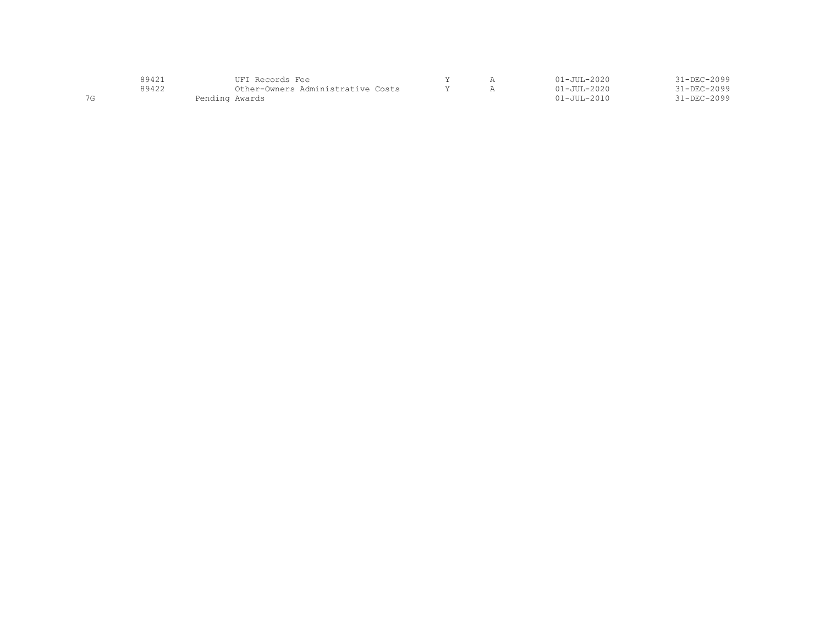|             | $8942^\circ$ | UFT Records Fee                   |  | $01 - JUII - 2020$ | 31-DEC-2099       |
|-------------|--------------|-----------------------------------|--|--------------------|-------------------|
|             | 89422        | Other-Owners Administrative Costs |  | $01 - JUL - 2020$  | $31 - DEC - 2099$ |
| $\neg \sim$ |              | Pending Awards                    |  | $01 - JUII - 2010$ | $31 - DEC - 2099$ |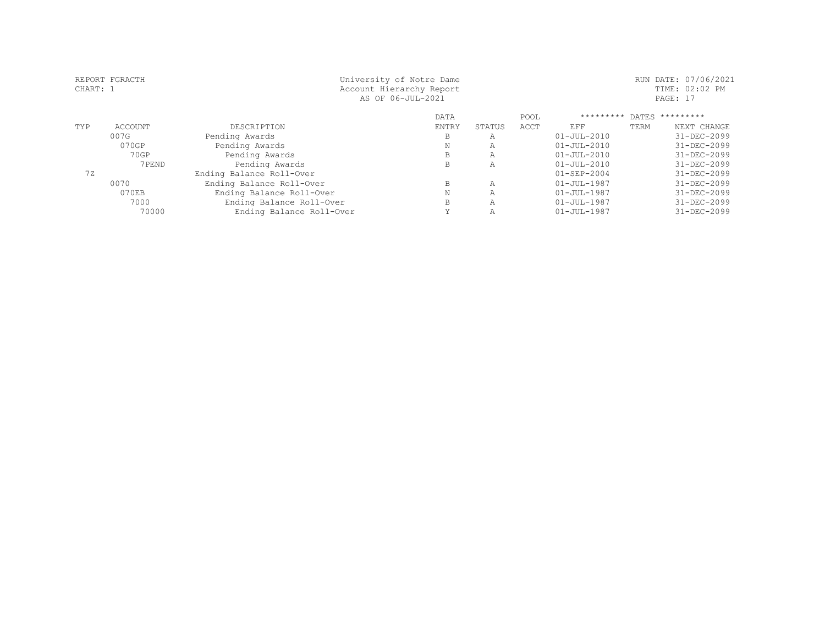| CHART: 1 | REPORT FGRACTH | University of Notre Dame<br>Account Hierarchy Report<br>AS OF 06-JUL-2021 |             |        |      |                   |      | RUN DATE: 07/06/2021<br>TIME: 02:02 PM<br>PAGE: 17 |
|----------|----------------|---------------------------------------------------------------------------|-------------|--------|------|-------------------|------|----------------------------------------------------|
|          |                |                                                                           | <b>DATA</b> |        | POOL | *********         |      | DATES *********                                    |
| TYP      | <b>ACCOUNT</b> | DESCRIPTION                                                               | ENTRY       | STATUS | ACCT | EFF               | TERM | NEXT CHANGE                                        |
|          | 007G           | Pending Awards                                                            | В           | Α      |      | $01 - JUL - 2010$ |      | 31-DEC-2099                                        |
|          | 070GP          | Pending Awards                                                            | Ν           | Α      |      | $01 - JUL - 2010$ |      | 31-DEC-2099                                        |
|          | 70GP           | Pending Awards                                                            | В           | Α      |      | $01 - JUL - 2010$ |      | 31-DEC-2099                                        |
|          | 7PEND          | Pending Awards                                                            | B           | Α      |      | $01 - JUL - 2010$ |      | 31-DEC-2099                                        |
| 72       |                | Ending Balance Roll-Over                                                  |             |        |      | $01 - SEP - 2004$ |      | 31-DEC-2099                                        |
|          | 0070           | Ending Balance Roll-Over                                                  | B           | Α      |      | $01 - JUL - 1987$ |      | 31-DEC-2099                                        |
|          | 070EB          | Ending Balance Roll-Over                                                  | Ν           | Α      |      | $01 - JUL - 1987$ |      | 31-DEC-2099                                        |
|          | 7000           | Ending Balance Roll-Over                                                  | B           | Α      |      | $01 - JUL - 1987$ |      | 31-DEC-2099                                        |
|          | 70000          | Ending Balance Roll-Over                                                  | v           | Α      |      | $01 - JUL - 1987$ |      | 31-DEC-2099                                        |